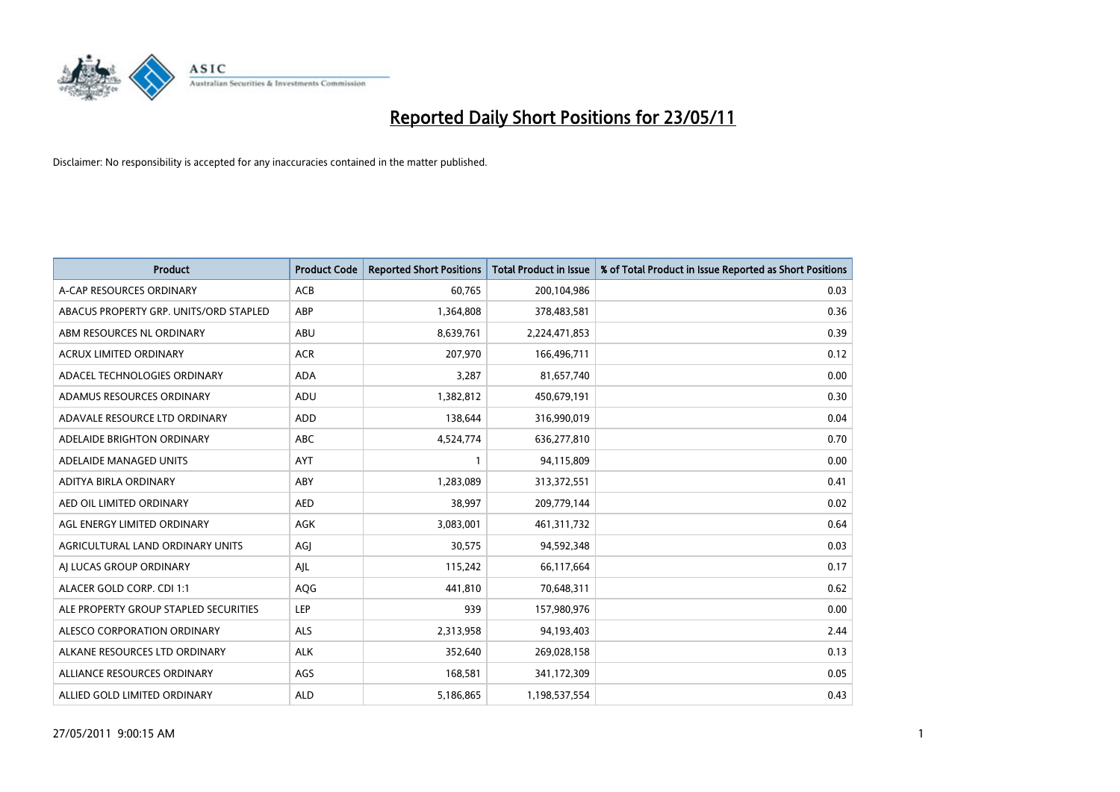

| <b>Product</b>                         | <b>Product Code</b> | <b>Reported Short Positions</b> | <b>Total Product in Issue</b> | % of Total Product in Issue Reported as Short Positions |
|----------------------------------------|---------------------|---------------------------------|-------------------------------|---------------------------------------------------------|
| A-CAP RESOURCES ORDINARY               | <b>ACB</b>          | 60.765                          | 200,104,986                   | 0.03                                                    |
| ABACUS PROPERTY GRP. UNITS/ORD STAPLED | ABP                 | 1,364,808                       | 378,483,581                   | 0.36                                                    |
| ABM RESOURCES NL ORDINARY              | ABU                 | 8,639,761                       | 2,224,471,853                 | 0.39                                                    |
| ACRUX LIMITED ORDINARY                 | <b>ACR</b>          | 207,970                         | 166,496,711                   | 0.12                                                    |
| ADACEL TECHNOLOGIES ORDINARY           | <b>ADA</b>          | 3,287                           | 81,657,740                    | 0.00                                                    |
| ADAMUS RESOURCES ORDINARY              | ADU                 | 1,382,812                       | 450,679,191                   | 0.30                                                    |
| ADAVALE RESOURCE LTD ORDINARY          | <b>ADD</b>          | 138.644                         | 316,990,019                   | 0.04                                                    |
| ADELAIDE BRIGHTON ORDINARY             | <b>ABC</b>          | 4,524,774                       | 636,277,810                   | 0.70                                                    |
| ADELAIDE MANAGED UNITS                 | AYT                 |                                 | 94,115,809                    | 0.00                                                    |
| ADITYA BIRLA ORDINARY                  | <b>ABY</b>          | 1,283,089                       | 313,372,551                   | 0.41                                                    |
| AED OIL LIMITED ORDINARY               | <b>AED</b>          | 38.997                          | 209,779,144                   | 0.02                                                    |
| AGL ENERGY LIMITED ORDINARY            | <b>AGK</b>          | 3,083,001                       | 461,311,732                   | 0.64                                                    |
| AGRICULTURAL LAND ORDINARY UNITS       | AGJ                 | 30,575                          | 94,592,348                    | 0.03                                                    |
| AI LUCAS GROUP ORDINARY                | AJL                 | 115,242                         | 66,117,664                    | 0.17                                                    |
| ALACER GOLD CORP. CDI 1:1              | AQG                 | 441,810                         | 70,648,311                    | 0.62                                                    |
| ALE PROPERTY GROUP STAPLED SECURITIES  | LEP                 | 939                             | 157,980,976                   | 0.00                                                    |
| ALESCO CORPORATION ORDINARY            | <b>ALS</b>          | 2,313,958                       | 94,193,403                    | 2.44                                                    |
| ALKANE RESOURCES LTD ORDINARY          | <b>ALK</b>          | 352,640                         | 269,028,158                   | 0.13                                                    |
| ALLIANCE RESOURCES ORDINARY            | AGS                 | 168,581                         | 341,172,309                   | 0.05                                                    |
| ALLIED GOLD LIMITED ORDINARY           | <b>ALD</b>          | 5,186,865                       | 1,198,537,554                 | 0.43                                                    |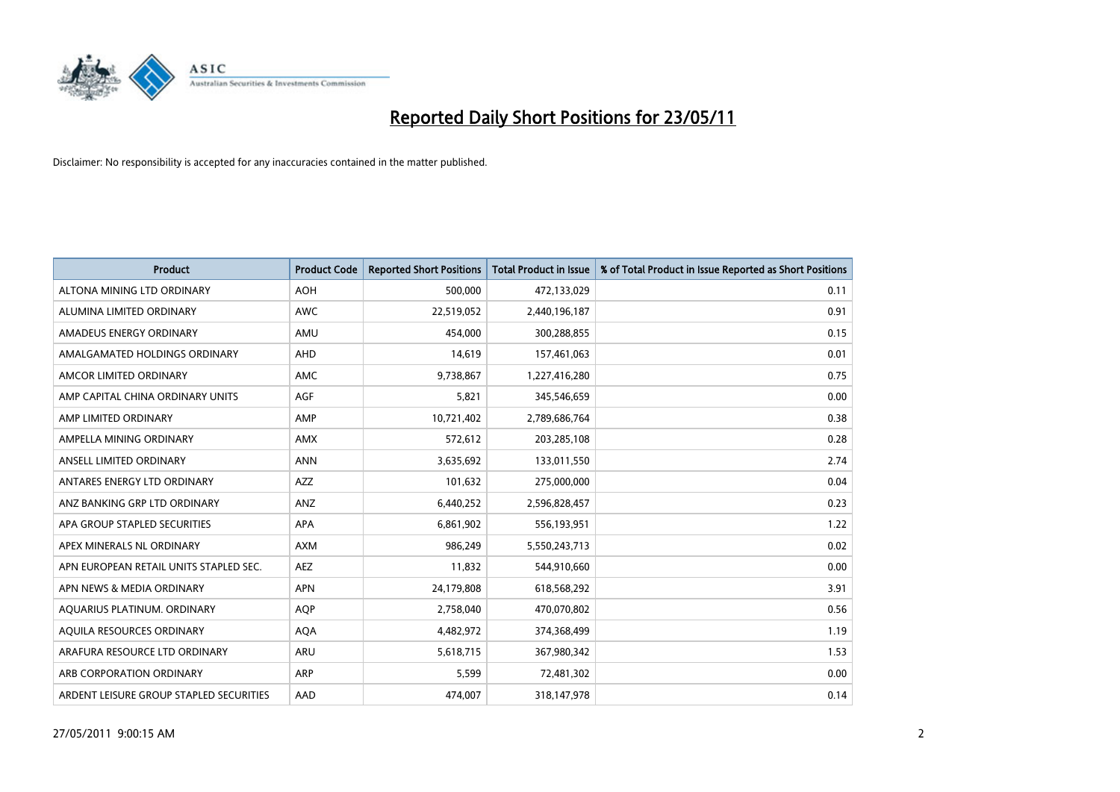

| <b>Product</b>                          | <b>Product Code</b> | <b>Reported Short Positions</b> | <b>Total Product in Issue</b> | % of Total Product in Issue Reported as Short Positions |
|-----------------------------------------|---------------------|---------------------------------|-------------------------------|---------------------------------------------------------|
| ALTONA MINING LTD ORDINARY              | <b>AOH</b>          | 500,000                         | 472,133,029                   | 0.11                                                    |
| ALUMINA LIMITED ORDINARY                | <b>AWC</b>          | 22,519,052                      | 2,440,196,187                 | 0.91                                                    |
| AMADEUS ENERGY ORDINARY                 | AMU                 | 454.000                         | 300,288,855                   | 0.15                                                    |
| AMALGAMATED HOLDINGS ORDINARY           | AHD                 | 14,619                          | 157,461,063                   | 0.01                                                    |
| AMCOR LIMITED ORDINARY                  | <b>AMC</b>          | 9,738,867                       | 1,227,416,280                 | 0.75                                                    |
| AMP CAPITAL CHINA ORDINARY UNITS        | <b>AGF</b>          | 5,821                           | 345,546,659                   | 0.00                                                    |
| AMP LIMITED ORDINARY                    | AMP                 | 10,721,402                      | 2,789,686,764                 | 0.38                                                    |
| AMPELLA MINING ORDINARY                 | <b>AMX</b>          | 572,612                         | 203,285,108                   | 0.28                                                    |
| ANSELL LIMITED ORDINARY                 | <b>ANN</b>          | 3,635,692                       | 133,011,550                   | 2.74                                                    |
| ANTARES ENERGY LTD ORDINARY             | <b>AZZ</b>          | 101,632                         | 275,000,000                   | 0.04                                                    |
| ANZ BANKING GRP LTD ORDINARY            | ANZ                 | 6,440,252                       | 2,596,828,457                 | 0.23                                                    |
| APA GROUP STAPLED SECURITIES            | <b>APA</b>          | 6,861,902                       | 556,193,951                   | 1.22                                                    |
| APEX MINERALS NL ORDINARY               | <b>AXM</b>          | 986.249                         | 5,550,243,713                 | 0.02                                                    |
| APN EUROPEAN RETAIL UNITS STAPLED SEC.  | <b>AEZ</b>          | 11,832                          | 544,910,660                   | 0.00                                                    |
| APN NEWS & MEDIA ORDINARY               | <b>APN</b>          | 24,179,808                      | 618,568,292                   | 3.91                                                    |
| AQUARIUS PLATINUM. ORDINARY             | <b>AOP</b>          | 2,758,040                       | 470,070,802                   | 0.56                                                    |
| AQUILA RESOURCES ORDINARY               | <b>AQA</b>          | 4,482,972                       | 374,368,499                   | 1.19                                                    |
| ARAFURA RESOURCE LTD ORDINARY           | <b>ARU</b>          | 5,618,715                       | 367,980,342                   | 1.53                                                    |
| ARB CORPORATION ORDINARY                | <b>ARP</b>          | 5,599                           | 72,481,302                    | 0.00                                                    |
| ARDENT LEISURE GROUP STAPLED SECURITIES | AAD                 | 474.007                         | 318,147,978                   | 0.14                                                    |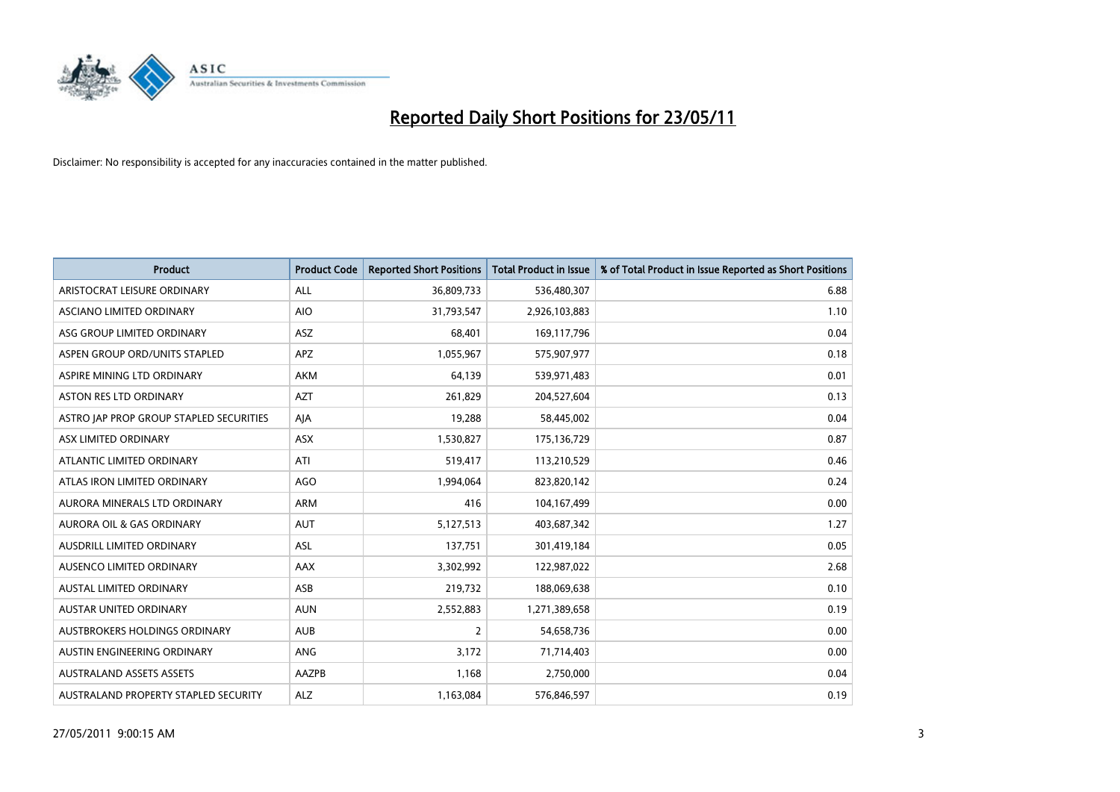

| <b>Product</b>                          | <b>Product Code</b> | <b>Reported Short Positions</b> | Total Product in Issue | % of Total Product in Issue Reported as Short Positions |
|-----------------------------------------|---------------------|---------------------------------|------------------------|---------------------------------------------------------|
| ARISTOCRAT LEISURE ORDINARY             | ALL                 | 36,809,733                      | 536,480,307            | 6.88                                                    |
| ASCIANO LIMITED ORDINARY                | <b>AIO</b>          | 31,793,547                      | 2,926,103,883          | 1.10                                                    |
| ASG GROUP LIMITED ORDINARY              | ASZ                 | 68,401                          | 169,117,796            | 0.04                                                    |
| ASPEN GROUP ORD/UNITS STAPLED           | APZ                 | 1,055,967                       | 575,907,977            | 0.18                                                    |
| ASPIRE MINING LTD ORDINARY              | <b>AKM</b>          | 64,139                          | 539,971,483            | 0.01                                                    |
| <b>ASTON RES LTD ORDINARY</b>           | <b>AZT</b>          | 261,829                         | 204,527,604            | 0.13                                                    |
| ASTRO JAP PROP GROUP STAPLED SECURITIES | AJA                 | 19,288                          | 58,445,002             | 0.04                                                    |
| ASX LIMITED ORDINARY                    | ASX                 | 1,530,827                       | 175,136,729            | 0.87                                                    |
| ATLANTIC LIMITED ORDINARY               | ATI                 | 519,417                         | 113,210,529            | 0.46                                                    |
| ATLAS IRON LIMITED ORDINARY             | <b>AGO</b>          | 1,994,064                       | 823,820,142            | 0.24                                                    |
| AURORA MINERALS LTD ORDINARY            | <b>ARM</b>          | 416                             | 104,167,499            | 0.00                                                    |
| AURORA OIL & GAS ORDINARY               | <b>AUT</b>          | 5,127,513                       | 403,687,342            | 1.27                                                    |
| AUSDRILL LIMITED ORDINARY               | <b>ASL</b>          | 137,751                         | 301,419,184            | 0.05                                                    |
| AUSENCO LIMITED ORDINARY                | <b>AAX</b>          | 3,302,992                       | 122,987,022            | 2.68                                                    |
| <b>AUSTAL LIMITED ORDINARY</b>          | ASB                 | 219,732                         | 188,069,638            | 0.10                                                    |
| <b>AUSTAR UNITED ORDINARY</b>           | <b>AUN</b>          | 2,552,883                       | 1,271,389,658          | 0.19                                                    |
| AUSTBROKERS HOLDINGS ORDINARY           | <b>AUB</b>          | 2                               | 54,658,736             | 0.00                                                    |
| AUSTIN ENGINEERING ORDINARY             | ANG                 | 3,172                           | 71,714,403             | 0.00                                                    |
| <b>AUSTRALAND ASSETS ASSETS</b>         | AAZPB               | 1,168                           | 2,750,000              | 0.04                                                    |
| AUSTRALAND PROPERTY STAPLED SECURITY    | <b>ALZ</b>          | 1,163,084                       | 576,846,597            | 0.19                                                    |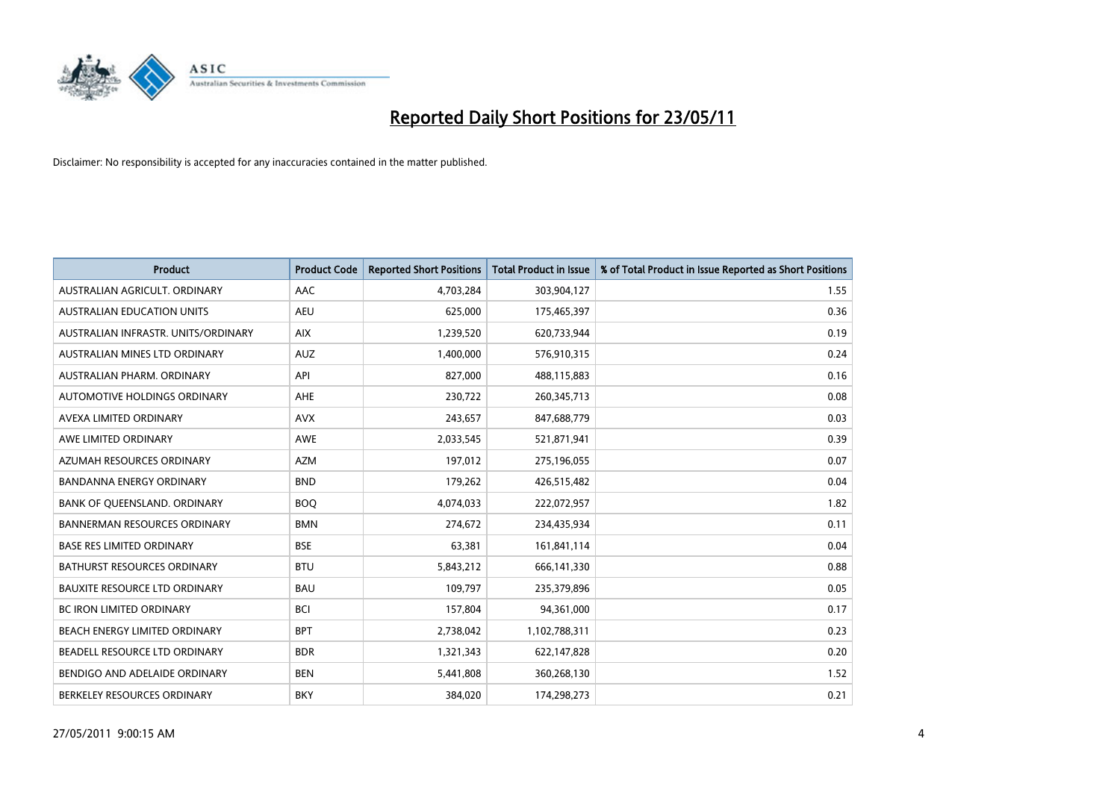

| <b>Product</b>                       | <b>Product Code</b> | <b>Reported Short Positions</b> | <b>Total Product in Issue</b> | % of Total Product in Issue Reported as Short Positions |
|--------------------------------------|---------------------|---------------------------------|-------------------------------|---------------------------------------------------------|
| AUSTRALIAN AGRICULT, ORDINARY        | <b>AAC</b>          | 4,703,284                       | 303,904,127                   | 1.55                                                    |
| AUSTRALIAN EDUCATION UNITS           | <b>AEU</b>          | 625,000                         | 175,465,397                   | 0.36                                                    |
| AUSTRALIAN INFRASTR. UNITS/ORDINARY  | <b>AIX</b>          | 1,239,520                       | 620,733,944                   | 0.19                                                    |
| AUSTRALIAN MINES LTD ORDINARY        | <b>AUZ</b>          | 1,400,000                       | 576,910,315                   | 0.24                                                    |
| AUSTRALIAN PHARM, ORDINARY           | API                 | 827,000                         | 488,115,883                   | 0.16                                                    |
| AUTOMOTIVE HOLDINGS ORDINARY         | <b>AHE</b>          | 230,722                         | 260,345,713                   | 0.08                                                    |
| AVEXA LIMITED ORDINARY               | <b>AVX</b>          | 243,657                         | 847,688,779                   | 0.03                                                    |
| AWE LIMITED ORDINARY                 | <b>AWE</b>          | 2,033,545                       | 521,871,941                   | 0.39                                                    |
| AZUMAH RESOURCES ORDINARY            | <b>AZM</b>          | 197,012                         | 275,196,055                   | 0.07                                                    |
| <b>BANDANNA ENERGY ORDINARY</b>      | <b>BND</b>          | 179,262                         | 426,515,482                   | 0.04                                                    |
| BANK OF QUEENSLAND. ORDINARY         | <b>BOO</b>          | 4,074,033                       | 222,072,957                   | 1.82                                                    |
| <b>BANNERMAN RESOURCES ORDINARY</b>  | <b>BMN</b>          | 274,672                         | 234,435,934                   | 0.11                                                    |
| <b>BASE RES LIMITED ORDINARY</b>     | <b>BSE</b>          | 63,381                          | 161,841,114                   | 0.04                                                    |
| <b>BATHURST RESOURCES ORDINARY</b>   | <b>BTU</b>          | 5,843,212                       | 666,141,330                   | 0.88                                                    |
| <b>BAUXITE RESOURCE LTD ORDINARY</b> | <b>BAU</b>          | 109,797                         | 235,379,896                   | 0.05                                                    |
| BC IRON LIMITED ORDINARY             | <b>BCI</b>          | 157,804                         | 94,361,000                    | 0.17                                                    |
| BEACH ENERGY LIMITED ORDINARY        | <b>BPT</b>          | 2,738,042                       | 1,102,788,311                 | 0.23                                                    |
| BEADELL RESOURCE LTD ORDINARY        | <b>BDR</b>          | 1,321,343                       | 622,147,828                   | 0.20                                                    |
| BENDIGO AND ADELAIDE ORDINARY        | <b>BEN</b>          | 5,441,808                       | 360,268,130                   | 1.52                                                    |
| BERKELEY RESOURCES ORDINARY          | <b>BKY</b>          | 384,020                         | 174,298,273                   | 0.21                                                    |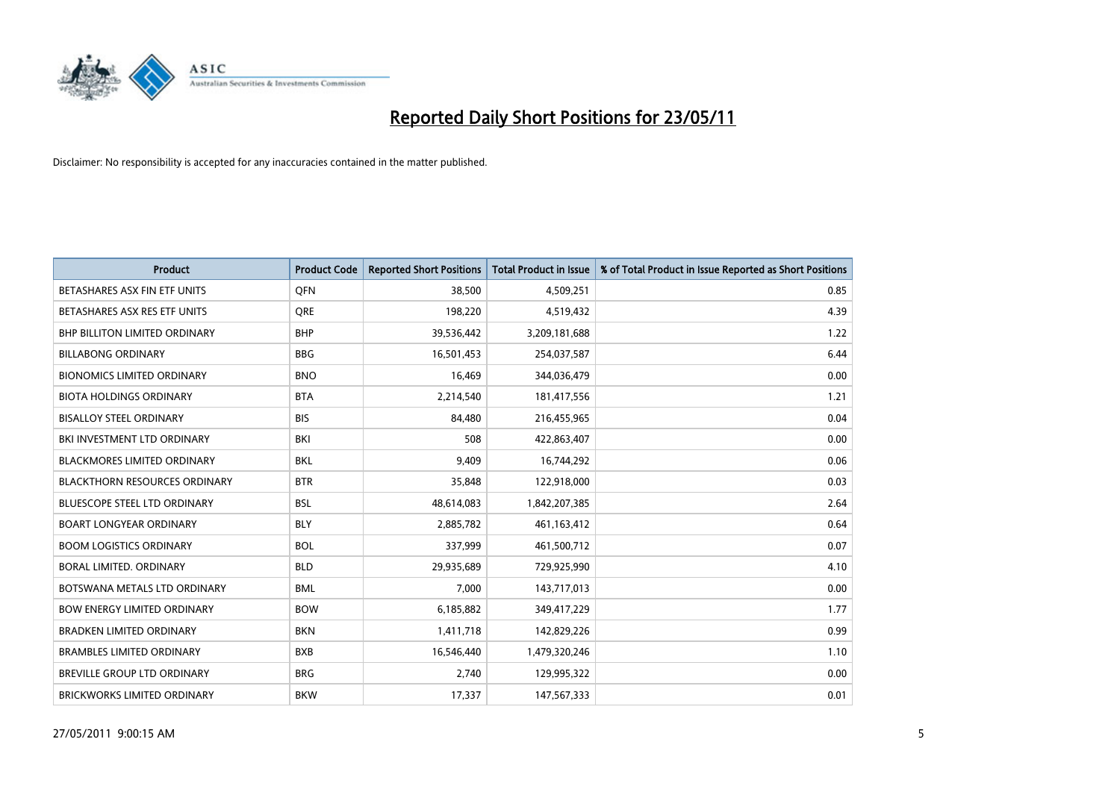

| Product                              | <b>Product Code</b> | <b>Reported Short Positions</b> | <b>Total Product in Issue</b> | % of Total Product in Issue Reported as Short Positions |
|--------------------------------------|---------------------|---------------------------------|-------------------------------|---------------------------------------------------------|
| BETASHARES ASX FIN ETF UNITS         | <b>OFN</b>          | 38,500                          | 4,509,251                     | 0.85                                                    |
| BETASHARES ASX RES ETF UNITS         | <b>ORE</b>          | 198,220                         | 4,519,432                     | 4.39                                                    |
| <b>BHP BILLITON LIMITED ORDINARY</b> | <b>BHP</b>          | 39,536,442                      | 3,209,181,688                 | 1.22                                                    |
| <b>BILLABONG ORDINARY</b>            | <b>BBG</b>          | 16,501,453                      | 254,037,587                   | 6.44                                                    |
| <b>BIONOMICS LIMITED ORDINARY</b>    | <b>BNO</b>          | 16,469                          | 344,036,479                   | 0.00                                                    |
| <b>BIOTA HOLDINGS ORDINARY</b>       | <b>BTA</b>          | 2,214,540                       | 181,417,556                   | 1.21                                                    |
| <b>BISALLOY STEEL ORDINARY</b>       | <b>BIS</b>          | 84,480                          | 216,455,965                   | 0.04                                                    |
| BKI INVESTMENT LTD ORDINARY          | BKI                 | 508                             | 422,863,407                   | 0.00                                                    |
| <b>BLACKMORES LIMITED ORDINARY</b>   | <b>BKL</b>          | 9,409                           | 16,744,292                    | 0.06                                                    |
| <b>BLACKTHORN RESOURCES ORDINARY</b> | <b>BTR</b>          | 35,848                          | 122,918,000                   | 0.03                                                    |
| BLUESCOPE STEEL LTD ORDINARY         | <b>BSL</b>          | 48,614,083                      | 1,842,207,385                 | 2.64                                                    |
| <b>BOART LONGYEAR ORDINARY</b>       | <b>BLY</b>          | 2,885,782                       | 461,163,412                   | 0.64                                                    |
| <b>BOOM LOGISTICS ORDINARY</b>       | <b>BOL</b>          | 337,999                         | 461,500,712                   | 0.07                                                    |
| BORAL LIMITED, ORDINARY              | <b>BLD</b>          | 29,935,689                      | 729,925,990                   | 4.10                                                    |
| BOTSWANA METALS LTD ORDINARY         | <b>BML</b>          | 7,000                           | 143,717,013                   | 0.00                                                    |
| <b>BOW ENERGY LIMITED ORDINARY</b>   | <b>BOW</b>          | 6,185,882                       | 349,417,229                   | 1.77                                                    |
| <b>BRADKEN LIMITED ORDINARY</b>      | <b>BKN</b>          | 1,411,718                       | 142,829,226                   | 0.99                                                    |
| <b>BRAMBLES LIMITED ORDINARY</b>     | <b>BXB</b>          | 16,546,440                      | 1,479,320,246                 | 1.10                                                    |
| BREVILLE GROUP LTD ORDINARY          | <b>BRG</b>          | 2,740                           | 129,995,322                   | 0.00                                                    |
| BRICKWORKS LIMITED ORDINARY          | <b>BKW</b>          | 17,337                          | 147,567,333                   | 0.01                                                    |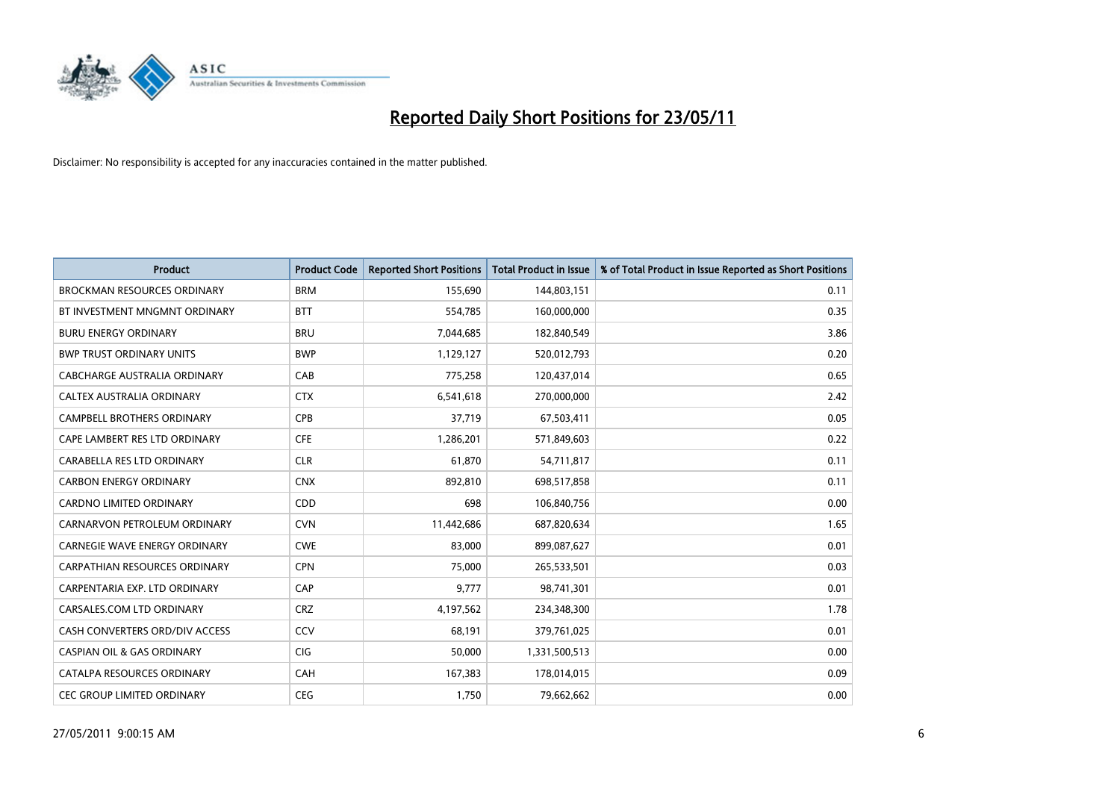

| <b>Product</b>                        | <b>Product Code</b> | <b>Reported Short Positions</b> | Total Product in Issue | % of Total Product in Issue Reported as Short Positions |
|---------------------------------------|---------------------|---------------------------------|------------------------|---------------------------------------------------------|
| <b>BROCKMAN RESOURCES ORDINARY</b>    | <b>BRM</b>          | 155,690                         | 144,803,151            | 0.11                                                    |
| BT INVESTMENT MNGMNT ORDINARY         | <b>BTT</b>          | 554,785                         | 160,000,000            | 0.35                                                    |
| <b>BURU ENERGY ORDINARY</b>           | <b>BRU</b>          | 7,044,685                       | 182,840,549            | 3.86                                                    |
| <b>BWP TRUST ORDINARY UNITS</b>       | <b>BWP</b>          | 1,129,127                       | 520,012,793            | 0.20                                                    |
| CABCHARGE AUSTRALIA ORDINARY          | CAB                 | 775,258                         | 120,437,014            | 0.65                                                    |
| CALTEX AUSTRALIA ORDINARY             | <b>CTX</b>          | 6,541,618                       | 270,000,000            | 2.42                                                    |
| <b>CAMPBELL BROTHERS ORDINARY</b>     | <b>CPB</b>          | 37,719                          | 67,503,411             | 0.05                                                    |
| CAPE LAMBERT RES LTD ORDINARY         | <b>CFE</b>          | 1,286,201                       | 571,849,603            | 0.22                                                    |
| CARABELLA RES LTD ORDINARY            | <b>CLR</b>          | 61,870                          | 54,711,817             | 0.11                                                    |
| <b>CARBON ENERGY ORDINARY</b>         | <b>CNX</b>          | 892,810                         | 698,517,858            | 0.11                                                    |
| CARDNO LIMITED ORDINARY               | CDD                 | 698                             | 106,840,756            | 0.00                                                    |
| CARNARVON PETROLEUM ORDINARY          | <b>CVN</b>          | 11,442,686                      | 687,820,634            | 1.65                                                    |
| CARNEGIE WAVE ENERGY ORDINARY         | <b>CWE</b>          | 83,000                          | 899,087,627            | 0.01                                                    |
| <b>CARPATHIAN RESOURCES ORDINARY</b>  | <b>CPN</b>          | 75,000                          | 265,533,501            | 0.03                                                    |
| CARPENTARIA EXP. LTD ORDINARY         | CAP                 | 9,777                           | 98,741,301             | 0.01                                                    |
| CARSALES.COM LTD ORDINARY             | <b>CRZ</b>          | 4,197,562                       | 234,348,300            | 1.78                                                    |
| CASH CONVERTERS ORD/DIV ACCESS        | CCV                 | 68,191                          | 379,761,025            | 0.01                                                    |
| <b>CASPIAN OIL &amp; GAS ORDINARY</b> | <b>CIG</b>          | 50,000                          | 1,331,500,513          | 0.00                                                    |
| CATALPA RESOURCES ORDINARY            | CAH                 | 167,383                         | 178,014,015            | 0.09                                                    |
| CEC GROUP LIMITED ORDINARY            | CEG                 | 1,750                           | 79,662,662             | 0.00                                                    |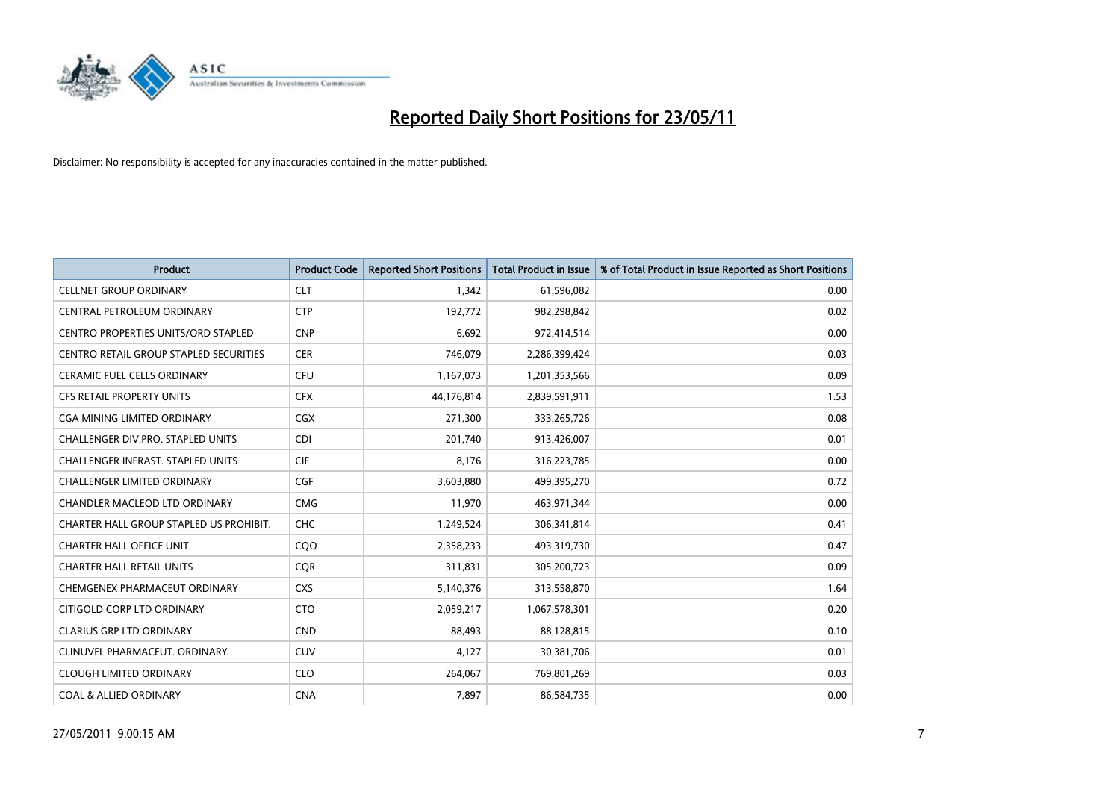

| <b>Product</b>                                | <b>Product Code</b> | <b>Reported Short Positions</b> | <b>Total Product in Issue</b> | % of Total Product in Issue Reported as Short Positions |
|-----------------------------------------------|---------------------|---------------------------------|-------------------------------|---------------------------------------------------------|
| <b>CELLNET GROUP ORDINARY</b>                 | <b>CLT</b>          | 1,342                           | 61,596,082                    | 0.00                                                    |
| CENTRAL PETROLEUM ORDINARY                    | <b>CTP</b>          | 192,772                         | 982,298,842                   | 0.02                                                    |
| <b>CENTRO PROPERTIES UNITS/ORD STAPLED</b>    | <b>CNP</b>          | 6,692                           | 972,414,514                   | 0.00                                                    |
| <b>CENTRO RETAIL GROUP STAPLED SECURITIES</b> | <b>CER</b>          | 746,079                         | 2,286,399,424                 | 0.03                                                    |
| <b>CERAMIC FUEL CELLS ORDINARY</b>            | <b>CFU</b>          | 1,167,073                       | 1,201,353,566                 | 0.09                                                    |
| <b>CFS RETAIL PROPERTY UNITS</b>              | <b>CFX</b>          | 44,176,814                      | 2,839,591,911                 | 1.53                                                    |
| CGA MINING LIMITED ORDINARY                   | CGX                 | 271,300                         | 333,265,726                   | 0.08                                                    |
| CHALLENGER DIV.PRO. STAPLED UNITS             | <b>CDI</b>          | 201,740                         | 913,426,007                   | 0.01                                                    |
| CHALLENGER INFRAST. STAPLED UNITS             | <b>CIF</b>          | 8,176                           | 316,223,785                   | 0.00                                                    |
| <b>CHALLENGER LIMITED ORDINARY</b>            | CGF                 | 3,603,880                       | 499,395,270                   | 0.72                                                    |
| CHANDLER MACLEOD LTD ORDINARY                 | <b>CMG</b>          | 11,970                          | 463,971,344                   | 0.00                                                    |
| CHARTER HALL GROUP STAPLED US PROHIBIT.       | <b>CHC</b>          | 1,249,524                       | 306,341,814                   | 0.41                                                    |
| <b>CHARTER HALL OFFICE UNIT</b>               | COO                 | 2,358,233                       | 493,319,730                   | 0.47                                                    |
| <b>CHARTER HALL RETAIL UNITS</b>              | <b>COR</b>          | 311,831                         | 305,200,723                   | 0.09                                                    |
| CHEMGENEX PHARMACEUT ORDINARY                 | <b>CXS</b>          | 5,140,376                       | 313,558,870                   | 1.64                                                    |
| CITIGOLD CORP LTD ORDINARY                    | <b>CTO</b>          | 2,059,217                       | 1,067,578,301                 | 0.20                                                    |
| <b>CLARIUS GRP LTD ORDINARY</b>               | <b>CND</b>          | 88,493                          | 88,128,815                    | 0.10                                                    |
| CLINUVEL PHARMACEUT. ORDINARY                 | <b>CUV</b>          | 4,127                           | 30,381,706                    | 0.01                                                    |
| <b>CLOUGH LIMITED ORDINARY</b>                | <b>CLO</b>          | 264,067                         | 769,801,269                   | 0.03                                                    |
| <b>COAL &amp; ALLIED ORDINARY</b>             | <b>CNA</b>          | 7,897                           | 86,584,735                    | 0.00                                                    |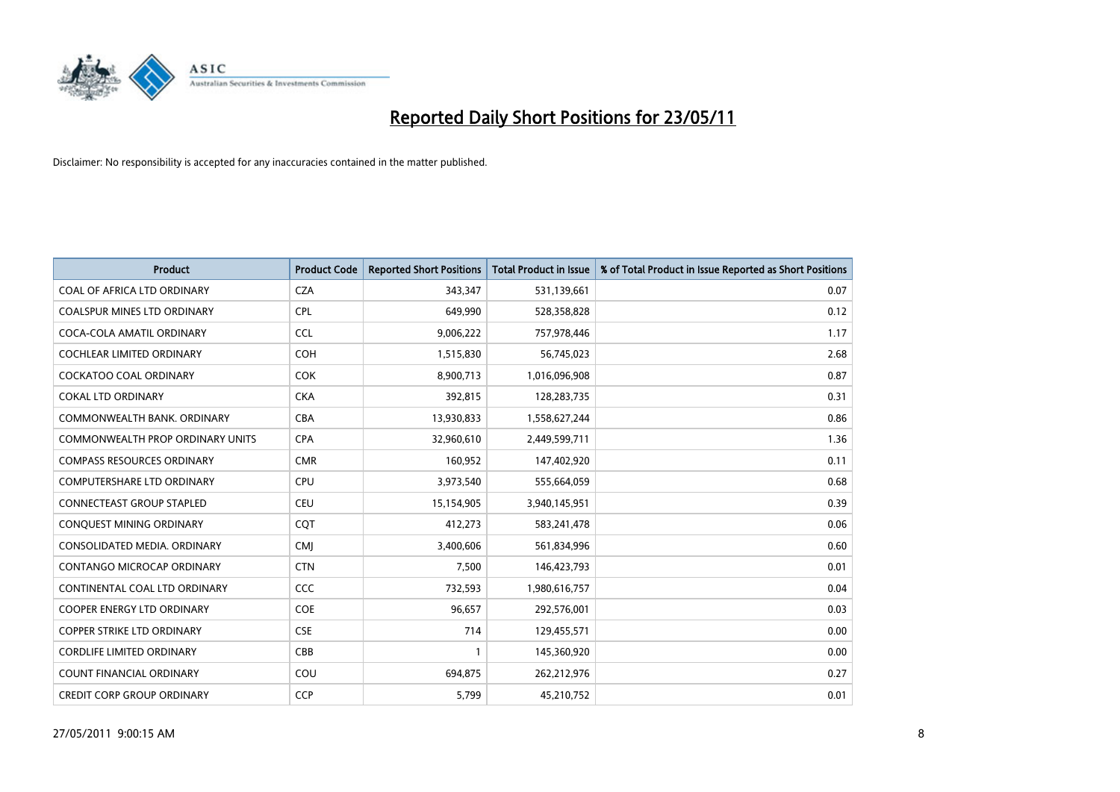

| <b>Product</b>                    | <b>Product Code</b> | <b>Reported Short Positions</b> | <b>Total Product in Issue</b> | % of Total Product in Issue Reported as Short Positions |
|-----------------------------------|---------------------|---------------------------------|-------------------------------|---------------------------------------------------------|
| COAL OF AFRICA LTD ORDINARY       | <b>CZA</b>          | 343,347                         | 531,139,661                   | 0.07                                                    |
| COALSPUR MINES LTD ORDINARY       | <b>CPL</b>          | 649,990                         | 528,358,828                   | 0.12                                                    |
| COCA-COLA AMATIL ORDINARY         | CCL                 | 9,006,222                       | 757,978,446                   | 1.17                                                    |
| COCHLEAR LIMITED ORDINARY         | <b>COH</b>          | 1,515,830                       | 56,745,023                    | 2.68                                                    |
| <b>COCKATOO COAL ORDINARY</b>     | <b>COK</b>          | 8,900,713                       | 1,016,096,908                 | 0.87                                                    |
| <b>COKAL LTD ORDINARY</b>         | <b>CKA</b>          | 392,815                         | 128,283,735                   | 0.31                                                    |
| COMMONWEALTH BANK, ORDINARY       | CBA                 | 13,930,833                      | 1,558,627,244                 | 0.86                                                    |
| COMMONWEALTH PROP ORDINARY UNITS  | <b>CPA</b>          | 32,960,610                      | 2,449,599,711                 | 1.36                                                    |
| <b>COMPASS RESOURCES ORDINARY</b> | <b>CMR</b>          | 160,952                         | 147,402,920                   | 0.11                                                    |
| <b>COMPUTERSHARE LTD ORDINARY</b> | <b>CPU</b>          | 3,973,540                       | 555,664,059                   | 0.68                                                    |
| CONNECTEAST GROUP STAPLED         | CEU                 | 15,154,905                      | 3,940,145,951                 | 0.39                                                    |
| CONQUEST MINING ORDINARY          | CQT                 | 412,273                         | 583,241,478                   | 0.06                                                    |
| CONSOLIDATED MEDIA. ORDINARY      | <b>CMI</b>          | 3,400,606                       | 561,834,996                   | 0.60                                                    |
| CONTANGO MICROCAP ORDINARY        | <b>CTN</b>          | 7,500                           | 146,423,793                   | 0.01                                                    |
| CONTINENTAL COAL LTD ORDINARY     | CCC                 | 732,593                         | 1,980,616,757                 | 0.04                                                    |
| <b>COOPER ENERGY LTD ORDINARY</b> | <b>COE</b>          | 96,657                          | 292,576,001                   | 0.03                                                    |
| COPPER STRIKE LTD ORDINARY        | <b>CSE</b>          | 714                             | 129,455,571                   | 0.00                                                    |
| <b>CORDLIFE LIMITED ORDINARY</b>  | CBB                 |                                 | 145,360,920                   | 0.00                                                    |
| <b>COUNT FINANCIAL ORDINARY</b>   | COU                 | 694,875                         | 262,212,976                   | 0.27                                                    |
| <b>CREDIT CORP GROUP ORDINARY</b> | <b>CCP</b>          | 5,799                           | 45,210,752                    | 0.01                                                    |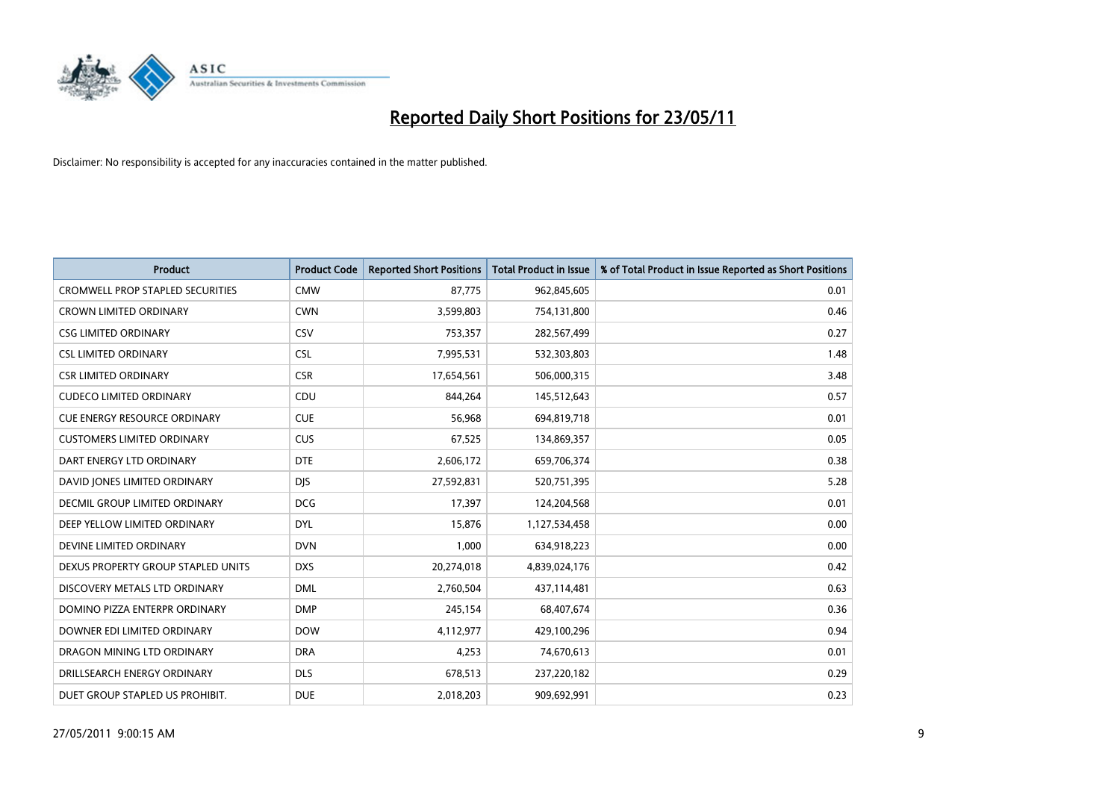

| <b>Product</b>                          | <b>Product Code</b> | <b>Reported Short Positions</b> | <b>Total Product in Issue</b> | % of Total Product in Issue Reported as Short Positions |
|-----------------------------------------|---------------------|---------------------------------|-------------------------------|---------------------------------------------------------|
| <b>CROMWELL PROP STAPLED SECURITIES</b> | <b>CMW</b>          | 87,775                          | 962,845,605                   | 0.01                                                    |
| <b>CROWN LIMITED ORDINARY</b>           | <b>CWN</b>          | 3,599,803                       | 754,131,800                   | 0.46                                                    |
| <b>CSG LIMITED ORDINARY</b>             | CSV                 | 753,357                         | 282,567,499                   | 0.27                                                    |
| <b>CSL LIMITED ORDINARY</b>             | <b>CSL</b>          | 7,995,531                       | 532,303,803                   | 1.48                                                    |
| <b>CSR LIMITED ORDINARY</b>             | <b>CSR</b>          | 17,654,561                      | 506,000,315                   | 3.48                                                    |
| <b>CUDECO LIMITED ORDINARY</b>          | CDU                 | 844.264                         | 145,512,643                   | 0.57                                                    |
| <b>CUE ENERGY RESOURCE ORDINARY</b>     | <b>CUE</b>          | 56,968                          | 694,819,718                   | 0.01                                                    |
| <b>CUSTOMERS LIMITED ORDINARY</b>       | CUS                 | 67,525                          | 134,869,357                   | 0.05                                                    |
| DART ENERGY LTD ORDINARY                | <b>DTE</b>          | 2,606,172                       | 659,706,374                   | 0.38                                                    |
| DAVID JONES LIMITED ORDINARY            | <b>DIS</b>          | 27,592,831                      | 520,751,395                   | 5.28                                                    |
| DECMIL GROUP LIMITED ORDINARY           | <b>DCG</b>          | 17,397                          | 124,204,568                   | 0.01                                                    |
| DEEP YELLOW LIMITED ORDINARY            | <b>DYL</b>          | 15,876                          | 1,127,534,458                 | 0.00                                                    |
| DEVINE LIMITED ORDINARY                 | <b>DVN</b>          | 1,000                           | 634,918,223                   | 0.00                                                    |
| DEXUS PROPERTY GROUP STAPLED UNITS      | <b>DXS</b>          | 20,274,018                      | 4,839,024,176                 | 0.42                                                    |
| DISCOVERY METALS LTD ORDINARY           | <b>DML</b>          | 2,760,504                       | 437,114,481                   | 0.63                                                    |
| DOMINO PIZZA ENTERPR ORDINARY           | <b>DMP</b>          | 245,154                         | 68,407,674                    | 0.36                                                    |
| DOWNER EDI LIMITED ORDINARY             | <b>DOW</b>          | 4,112,977                       | 429,100,296                   | 0.94                                                    |
| DRAGON MINING LTD ORDINARY              | <b>DRA</b>          | 4,253                           | 74,670,613                    | 0.01                                                    |
| DRILLSEARCH ENERGY ORDINARY             | <b>DLS</b>          | 678,513                         | 237,220,182                   | 0.29                                                    |
| DUET GROUP STAPLED US PROHIBIT.         | <b>DUE</b>          | 2,018,203                       | 909,692,991                   | 0.23                                                    |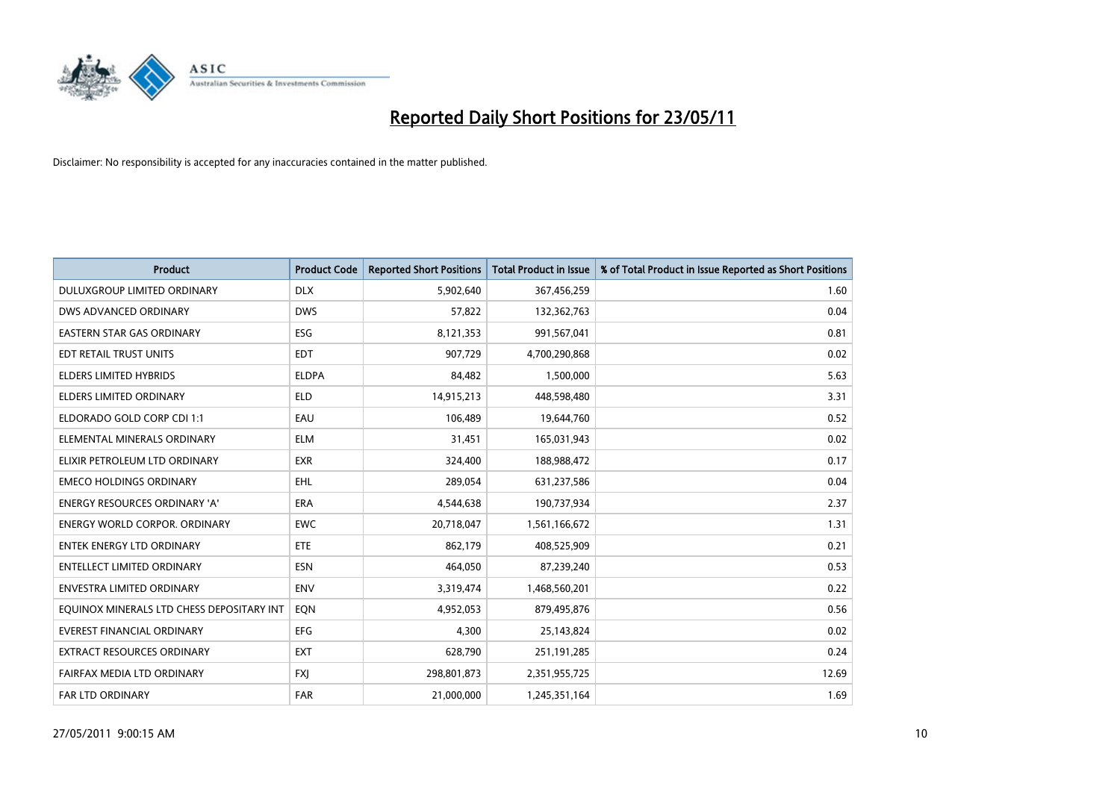

| <b>Product</b>                            | <b>Product Code</b> | <b>Reported Short Positions</b> | <b>Total Product in Issue</b> | % of Total Product in Issue Reported as Short Positions |
|-------------------------------------------|---------------------|---------------------------------|-------------------------------|---------------------------------------------------------|
| DULUXGROUP LIMITED ORDINARY               | <b>DLX</b>          | 5,902,640                       | 367,456,259                   | 1.60                                                    |
| DWS ADVANCED ORDINARY                     | <b>DWS</b>          | 57,822                          | 132,362,763                   | 0.04                                                    |
| EASTERN STAR GAS ORDINARY                 | ESG                 | 8,121,353                       | 991,567,041                   | 0.81                                                    |
| EDT RETAIL TRUST UNITS                    | <b>EDT</b>          | 907,729                         | 4,700,290,868                 | 0.02                                                    |
| <b>ELDERS LIMITED HYBRIDS</b>             | <b>ELDPA</b>        | 84,482                          | 1,500,000                     | 5.63                                                    |
| <b>ELDERS LIMITED ORDINARY</b>            | <b>ELD</b>          | 14,915,213                      | 448,598,480                   | 3.31                                                    |
| ELDORADO GOLD CORP CDI 1:1                | EAU                 | 106,489                         | 19,644,760                    | 0.52                                                    |
| ELEMENTAL MINERALS ORDINARY               | <b>ELM</b>          | 31,451                          | 165,031,943                   | 0.02                                                    |
| ELIXIR PETROLEUM LTD ORDINARY             | <b>EXR</b>          | 324,400                         | 188,988,472                   | 0.17                                                    |
| <b>EMECO HOLDINGS ORDINARY</b>            | <b>EHL</b>          | 289,054                         | 631,237,586                   | 0.04                                                    |
| ENERGY RESOURCES ORDINARY 'A'             | <b>ERA</b>          | 4,544,638                       | 190,737,934                   | 2.37                                                    |
| ENERGY WORLD CORPOR. ORDINARY             | <b>EWC</b>          | 20,718,047                      | 1,561,166,672                 | 1.31                                                    |
| <b>ENTEK ENERGY LTD ORDINARY</b>          | <b>ETE</b>          | 862,179                         | 408,525,909                   | 0.21                                                    |
| <b>ENTELLECT LIMITED ORDINARY</b>         | <b>ESN</b>          | 464,050                         | 87,239,240                    | 0.53                                                    |
| <b>ENVESTRA LIMITED ORDINARY</b>          | <b>ENV</b>          | 3,319,474                       | 1,468,560,201                 | 0.22                                                    |
| EQUINOX MINERALS LTD CHESS DEPOSITARY INT | <b>EON</b>          | 4,952,053                       | 879,495,876                   | 0.56                                                    |
| EVEREST FINANCIAL ORDINARY                | EFG                 | 4,300                           | 25,143,824                    | 0.02                                                    |
| EXTRACT RESOURCES ORDINARY                | <b>EXT</b>          | 628,790                         | 251,191,285                   | 0.24                                                    |
| FAIRFAX MEDIA LTD ORDINARY                | <b>FXI</b>          | 298,801,873                     | 2,351,955,725                 | 12.69                                                   |
| <b>FAR LTD ORDINARY</b>                   | <b>FAR</b>          | 21,000,000                      | 1,245,351,164                 | 1.69                                                    |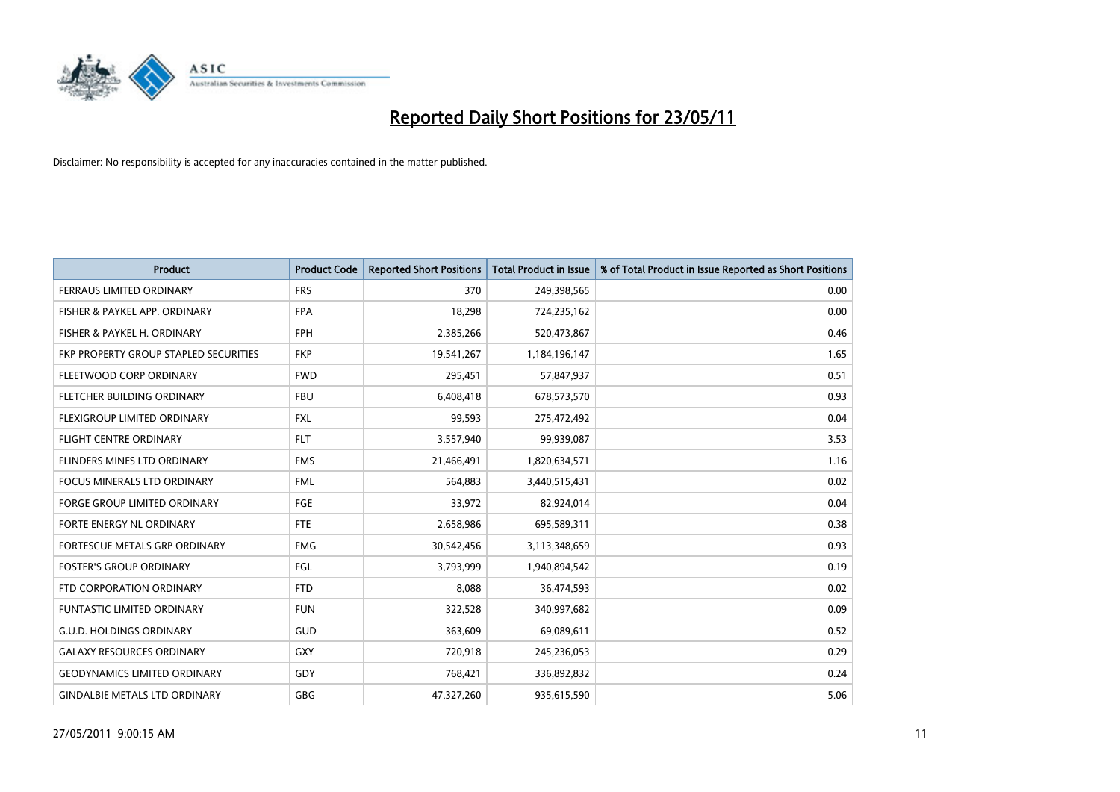

| <b>Product</b>                        | <b>Product Code</b> | <b>Reported Short Positions</b> | <b>Total Product in Issue</b> | % of Total Product in Issue Reported as Short Positions |
|---------------------------------------|---------------------|---------------------------------|-------------------------------|---------------------------------------------------------|
| <b>FERRAUS LIMITED ORDINARY</b>       | <b>FRS</b>          | 370                             | 249,398,565                   | 0.00                                                    |
| FISHER & PAYKEL APP. ORDINARY         | <b>FPA</b>          | 18,298                          | 724,235,162                   | 0.00                                                    |
| FISHER & PAYKEL H. ORDINARY           | <b>FPH</b>          | 2,385,266                       | 520,473,867                   | 0.46                                                    |
| FKP PROPERTY GROUP STAPLED SECURITIES | <b>FKP</b>          | 19,541,267                      | 1,184,196,147                 | 1.65                                                    |
| FLEETWOOD CORP ORDINARY               | <b>FWD</b>          | 295,451                         | 57,847,937                    | 0.51                                                    |
| FLETCHER BUILDING ORDINARY            | <b>FBU</b>          | 6,408,418                       | 678,573,570                   | 0.93                                                    |
| FLEXIGROUP LIMITED ORDINARY           | <b>FXL</b>          | 99,593                          | 275,472,492                   | 0.04                                                    |
| <b>FLIGHT CENTRE ORDINARY</b>         | <b>FLT</b>          | 3,557,940                       | 99,939,087                    | 3.53                                                    |
| FLINDERS MINES LTD ORDINARY           | <b>FMS</b>          | 21,466,491                      | 1,820,634,571                 | 1.16                                                    |
| <b>FOCUS MINERALS LTD ORDINARY</b>    | <b>FML</b>          | 564,883                         | 3,440,515,431                 | 0.02                                                    |
| FORGE GROUP LIMITED ORDINARY          | <b>FGE</b>          | 33,972                          | 82,924,014                    | 0.04                                                    |
| FORTE ENERGY NL ORDINARY              | <b>FTE</b>          | 2,658,986                       | 695,589,311                   | 0.38                                                    |
| FORTESCUE METALS GRP ORDINARY         | <b>FMG</b>          | 30,542,456                      | 3,113,348,659                 | 0.93                                                    |
| <b>FOSTER'S GROUP ORDINARY</b>        | FGL                 | 3,793,999                       | 1,940,894,542                 | 0.19                                                    |
| FTD CORPORATION ORDINARY              | <b>FTD</b>          | 8,088                           | 36,474,593                    | 0.02                                                    |
| <b>FUNTASTIC LIMITED ORDINARY</b>     | <b>FUN</b>          | 322,528                         | 340,997,682                   | 0.09                                                    |
| <b>G.U.D. HOLDINGS ORDINARY</b>       | <b>GUD</b>          | 363,609                         | 69,089,611                    | 0.52                                                    |
| <b>GALAXY RESOURCES ORDINARY</b>      | <b>GXY</b>          | 720,918                         | 245,236,053                   | 0.29                                                    |
| <b>GEODYNAMICS LIMITED ORDINARY</b>   | GDY                 | 768,421                         | 336,892,832                   | 0.24                                                    |
| <b>GINDALBIE METALS LTD ORDINARY</b>  | <b>GBG</b>          | 47,327,260                      | 935,615,590                   | 5.06                                                    |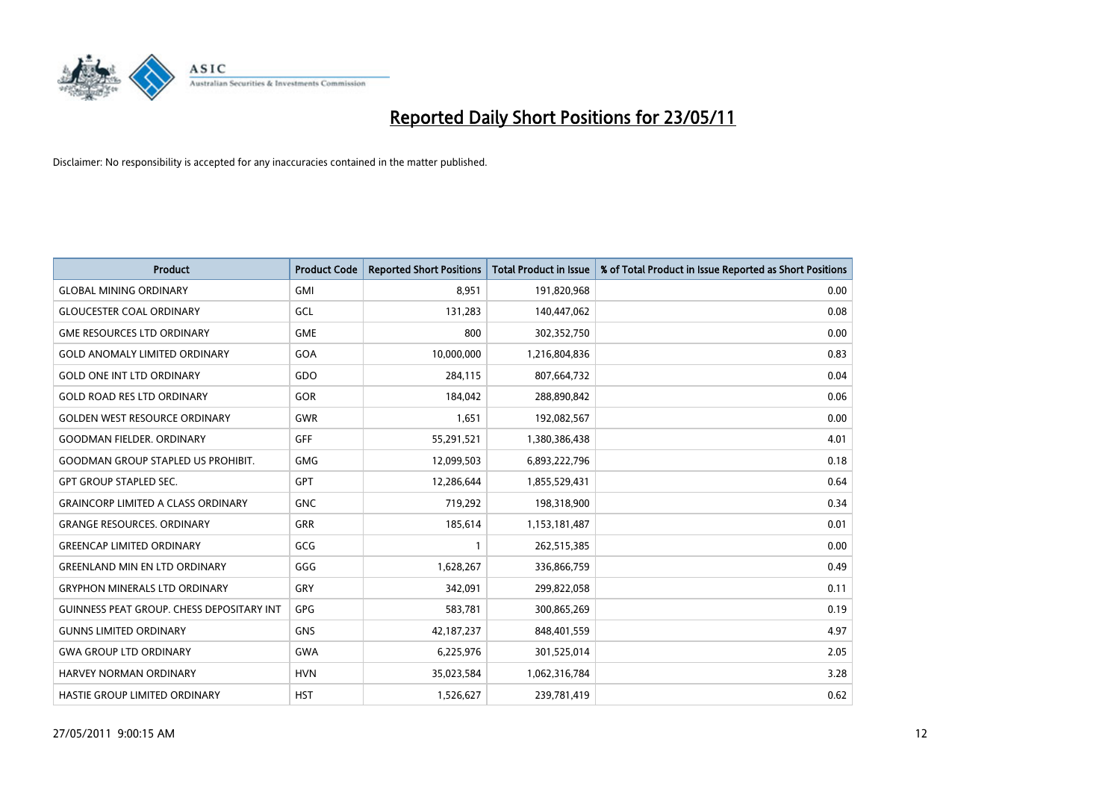

| <b>Product</b>                                   | <b>Product Code</b> | <b>Reported Short Positions</b> | <b>Total Product in Issue</b> | % of Total Product in Issue Reported as Short Positions |
|--------------------------------------------------|---------------------|---------------------------------|-------------------------------|---------------------------------------------------------|
| <b>GLOBAL MINING ORDINARY</b>                    | <b>GMI</b>          | 8.951                           | 191,820,968                   | 0.00                                                    |
| <b>GLOUCESTER COAL ORDINARY</b>                  | GCL                 | 131,283                         | 140,447,062                   | 0.08                                                    |
| <b>GME RESOURCES LTD ORDINARY</b>                | <b>GME</b>          | 800                             | 302,352,750                   | 0.00                                                    |
| <b>GOLD ANOMALY LIMITED ORDINARY</b>             | GOA                 | 10,000,000                      | 1,216,804,836                 | 0.83                                                    |
| <b>GOLD ONE INT LTD ORDINARY</b>                 | GDO                 | 284,115                         | 807,664,732                   | 0.04                                                    |
| <b>GOLD ROAD RES LTD ORDINARY</b>                | <b>GOR</b>          | 184,042                         | 288,890,842                   | 0.06                                                    |
| <b>GOLDEN WEST RESOURCE ORDINARY</b>             | GWR                 | 1,651                           | 192,082,567                   | 0.00                                                    |
| <b>GOODMAN FIELDER, ORDINARY</b>                 | <b>GFF</b>          | 55,291,521                      | 1,380,386,438                 | 4.01                                                    |
| <b>GOODMAN GROUP STAPLED US PROHIBIT.</b>        | <b>GMG</b>          | 12,099,503                      | 6,893,222,796                 | 0.18                                                    |
| <b>GPT GROUP STAPLED SEC.</b>                    | <b>GPT</b>          | 12,286,644                      | 1,855,529,431                 | 0.64                                                    |
| <b>GRAINCORP LIMITED A CLASS ORDINARY</b>        | <b>GNC</b>          | 719,292                         | 198,318,900                   | 0.34                                                    |
| <b>GRANGE RESOURCES. ORDINARY</b>                | <b>GRR</b>          | 185,614                         | 1,153,181,487                 | 0.01                                                    |
| <b>GREENCAP LIMITED ORDINARY</b>                 | GCG                 |                                 | 262,515,385                   | 0.00                                                    |
| <b>GREENLAND MIN EN LTD ORDINARY</b>             | GGG                 | 1,628,267                       | 336,866,759                   | 0.49                                                    |
| <b>GRYPHON MINERALS LTD ORDINARY</b>             | GRY                 | 342.091                         | 299,822,058                   | 0.11                                                    |
| <b>GUINNESS PEAT GROUP. CHESS DEPOSITARY INT</b> | GPG                 | 583,781                         | 300,865,269                   | 0.19                                                    |
| <b>GUNNS LIMITED ORDINARY</b>                    | <b>GNS</b>          | 42,187,237                      | 848,401,559                   | 4.97                                                    |
| <b>GWA GROUP LTD ORDINARY</b>                    | <b>GWA</b>          | 6,225,976                       | 301,525,014                   | 2.05                                                    |
| HARVEY NORMAN ORDINARY                           | <b>HVN</b>          | 35,023,584                      | 1,062,316,784                 | 3.28                                                    |
| HASTIE GROUP LIMITED ORDINARY                    | <b>HST</b>          | 1,526,627                       | 239,781,419                   | 0.62                                                    |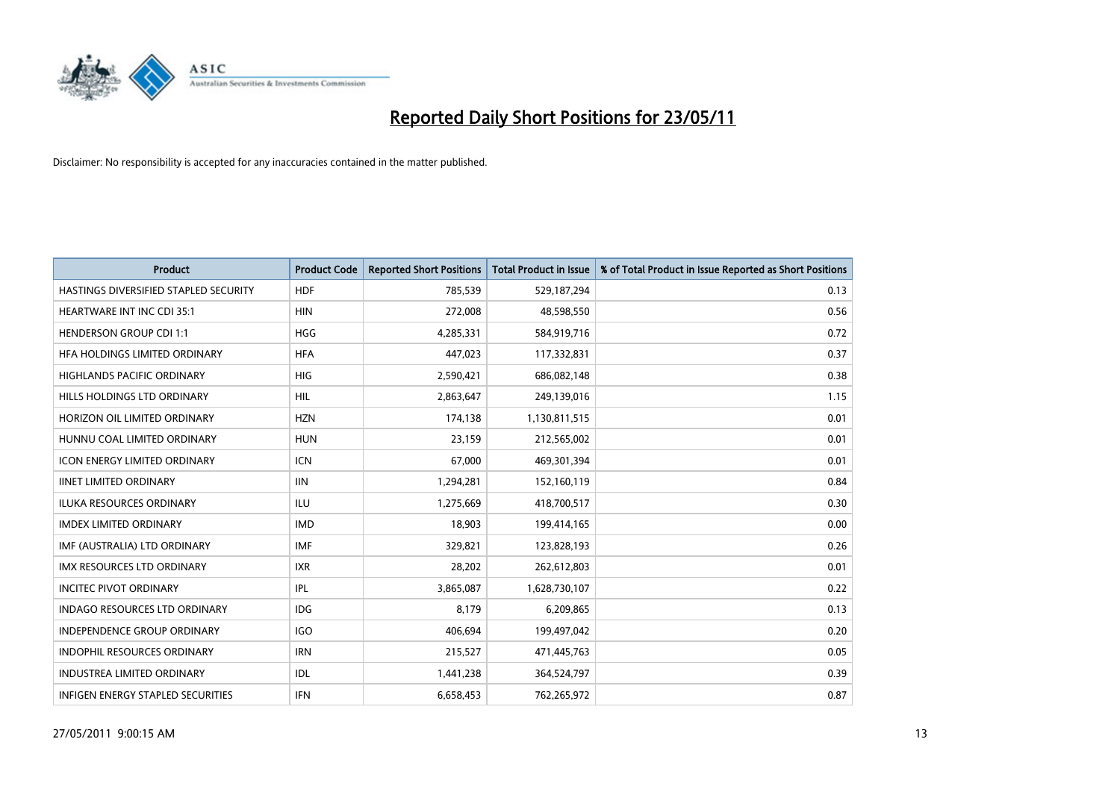

| <b>Product</b>                           | <b>Product Code</b> | <b>Reported Short Positions</b> | <b>Total Product in Issue</b> | % of Total Product in Issue Reported as Short Positions |
|------------------------------------------|---------------------|---------------------------------|-------------------------------|---------------------------------------------------------|
| HASTINGS DIVERSIFIED STAPLED SECURITY    | <b>HDF</b>          | 785,539                         | 529,187,294                   | 0.13                                                    |
| <b>HEARTWARE INT INC CDI 35:1</b>        | <b>HIN</b>          | 272,008                         | 48,598,550                    | 0.56                                                    |
| <b>HENDERSON GROUP CDI 1:1</b>           | <b>HGG</b>          | 4,285,331                       | 584,919,716                   | 0.72                                                    |
| HFA HOLDINGS LIMITED ORDINARY            | <b>HFA</b>          | 447,023                         | 117,332,831                   | 0.37                                                    |
| <b>HIGHLANDS PACIFIC ORDINARY</b>        | <b>HIG</b>          | 2,590,421                       | 686,082,148                   | 0.38                                                    |
| HILLS HOLDINGS LTD ORDINARY              | <b>HIL</b>          | 2,863,647                       | 249,139,016                   | 1.15                                                    |
| HORIZON OIL LIMITED ORDINARY             | <b>HZN</b>          | 174,138                         | 1,130,811,515                 | 0.01                                                    |
| HUNNU COAL LIMITED ORDINARY              | <b>HUN</b>          | 23,159                          | 212,565,002                   | 0.01                                                    |
| ICON ENERGY LIMITED ORDINARY             | <b>ICN</b>          | 67,000                          | 469,301,394                   | 0.01                                                    |
| <b>IINET LIMITED ORDINARY</b>            | <b>IIN</b>          | 1,294,281                       | 152,160,119                   | 0.84                                                    |
| <b>ILUKA RESOURCES ORDINARY</b>          | <b>ILU</b>          | 1,275,669                       | 418,700,517                   | 0.30                                                    |
| <b>IMDEX LIMITED ORDINARY</b>            | <b>IMD</b>          | 18,903                          | 199,414,165                   | 0.00                                                    |
| IMF (AUSTRALIA) LTD ORDINARY             | <b>IMF</b>          | 329.821                         | 123,828,193                   | 0.26                                                    |
| <b>IMX RESOURCES LTD ORDINARY</b>        | <b>IXR</b>          | 28,202                          | 262,612,803                   | 0.01                                                    |
| <b>INCITEC PIVOT ORDINARY</b>            | <b>IPL</b>          | 3,865,087                       | 1,628,730,107                 | 0.22                                                    |
| <b>INDAGO RESOURCES LTD ORDINARY</b>     | <b>IDG</b>          | 8,179                           | 6,209,865                     | 0.13                                                    |
| <b>INDEPENDENCE GROUP ORDINARY</b>       | <b>IGO</b>          | 406,694                         | 199,497,042                   | 0.20                                                    |
| INDOPHIL RESOURCES ORDINARY              | <b>IRN</b>          | 215,527                         | 471,445,763                   | 0.05                                                    |
| <b>INDUSTREA LIMITED ORDINARY</b>        | IDL                 | 1,441,238                       | 364,524,797                   | 0.39                                                    |
| <b>INFIGEN ENERGY STAPLED SECURITIES</b> | <b>IFN</b>          | 6,658,453                       | 762,265,972                   | 0.87                                                    |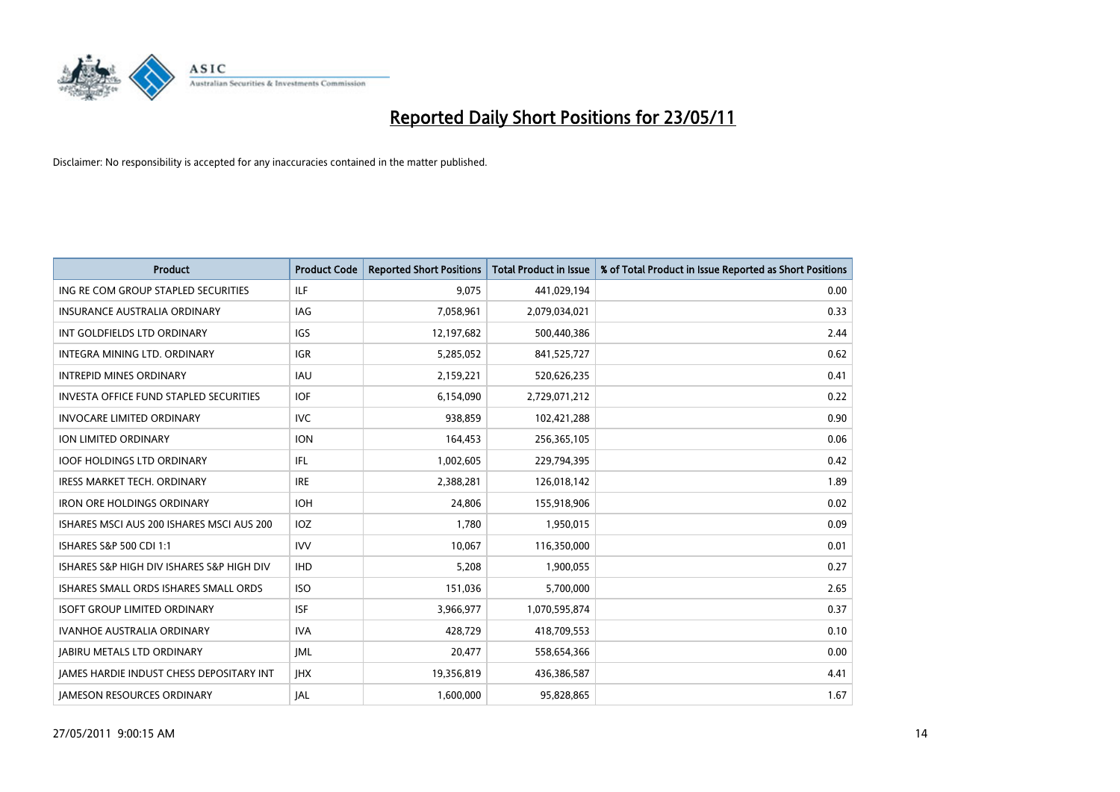

| <b>Product</b>                                  | <b>Product Code</b> | <b>Reported Short Positions</b> | <b>Total Product in Issue</b> | % of Total Product in Issue Reported as Short Positions |
|-------------------------------------------------|---------------------|---------------------------------|-------------------------------|---------------------------------------------------------|
| ING RE COM GROUP STAPLED SECURITIES             | <b>ILF</b>          | 9,075                           | 441,029,194                   | 0.00                                                    |
| <b>INSURANCE AUSTRALIA ORDINARY</b>             | IAG                 | 7,058,961                       | 2,079,034,021                 | 0.33                                                    |
| INT GOLDFIELDS LTD ORDINARY                     | IGS                 | 12,197,682                      | 500,440,386                   | 2.44                                                    |
| INTEGRA MINING LTD. ORDINARY                    | <b>IGR</b>          | 5,285,052                       | 841,525,727                   | 0.62                                                    |
| <b>INTREPID MINES ORDINARY</b>                  | <b>IAU</b>          | 2,159,221                       | 520,626,235                   | 0.41                                                    |
| INVESTA OFFICE FUND STAPLED SECURITIES          | <b>IOF</b>          | 6,154,090                       | 2,729,071,212                 | 0.22                                                    |
| <b>INVOCARE LIMITED ORDINARY</b>                | <b>IVC</b>          | 938.859                         | 102,421,288                   | 0.90                                                    |
| <b>ION LIMITED ORDINARY</b>                     | <b>ION</b>          | 164,453                         | 256,365,105                   | 0.06                                                    |
| <b>IOOF HOLDINGS LTD ORDINARY</b>               | <b>IFL</b>          | 1,002,605                       | 229,794,395                   | 0.42                                                    |
| <b>IRESS MARKET TECH. ORDINARY</b>              | <b>IRE</b>          | 2,388,281                       | 126,018,142                   | 1.89                                                    |
| <b>IRON ORE HOLDINGS ORDINARY</b>               | <b>IOH</b>          | 24,806                          | 155,918,906                   | 0.02                                                    |
| ISHARES MSCI AUS 200 ISHARES MSCI AUS 200       | <b>IOZ</b>          | 1,780                           | 1,950,015                     | 0.09                                                    |
| ISHARES S&P 500 CDI 1:1                         | <b>IVV</b>          | 10,067                          | 116,350,000                   | 0.01                                                    |
| ISHARES S&P HIGH DIV ISHARES S&P HIGH DIV       | <b>IHD</b>          | 5,208                           | 1,900,055                     | 0.27                                                    |
| ISHARES SMALL ORDS ISHARES SMALL ORDS           | <b>ISO</b>          | 151,036                         | 5,700,000                     | 2.65                                                    |
| <b>ISOFT GROUP LIMITED ORDINARY</b>             | <b>ISF</b>          | 3,966,977                       | 1,070,595,874                 | 0.37                                                    |
| <b>IVANHOE AUSTRALIA ORDINARY</b>               | <b>IVA</b>          | 428,729                         | 418,709,553                   | 0.10                                                    |
| <b>JABIRU METALS LTD ORDINARY</b>               | IML                 | 20,477                          | 558,654,366                   | 0.00                                                    |
| <b>IAMES HARDIE INDUST CHESS DEPOSITARY INT</b> | <b>IHX</b>          | 19,356,819                      | 436,386,587                   | 4.41                                                    |
| <b>JAMESON RESOURCES ORDINARY</b>               | <b>JAL</b>          | 1,600,000                       | 95,828,865                    | 1.67                                                    |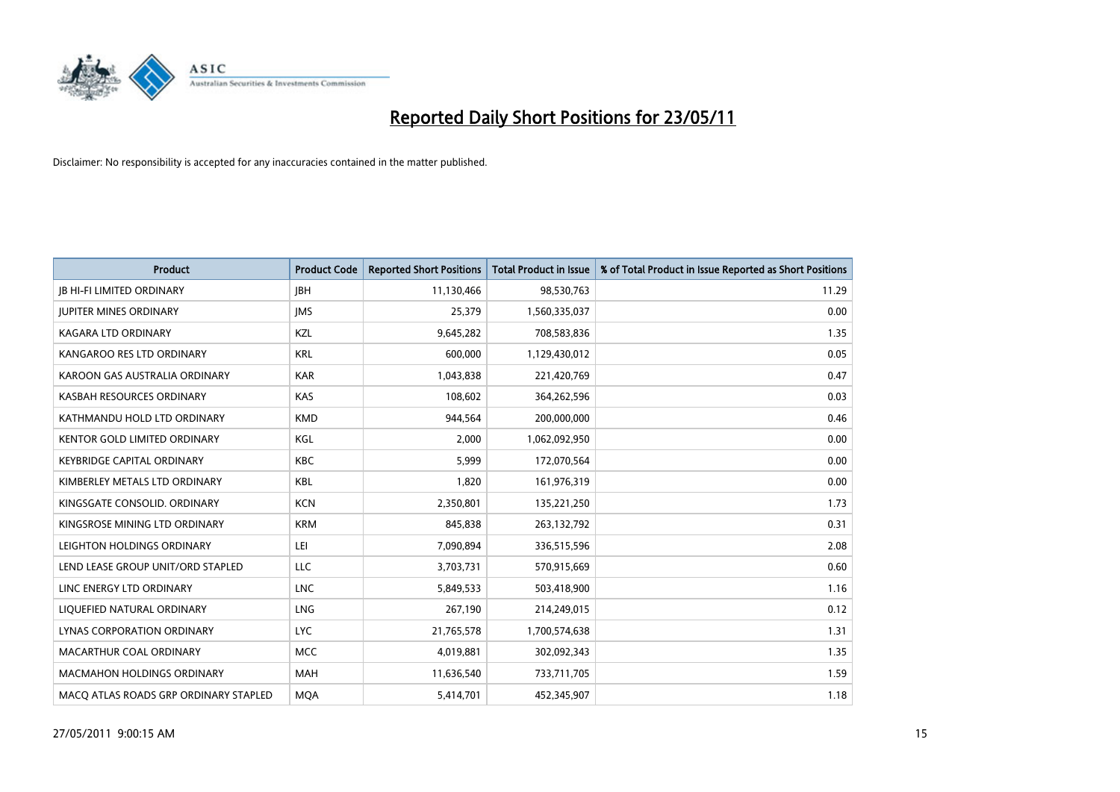

| <b>Product</b>                        | <b>Product Code</b> | <b>Reported Short Positions</b> | <b>Total Product in Issue</b> | % of Total Product in Issue Reported as Short Positions |
|---------------------------------------|---------------------|---------------------------------|-------------------------------|---------------------------------------------------------|
| <b>JB HI-FI LIMITED ORDINARY</b>      | <b>JBH</b>          | 11,130,466                      | 98,530,763                    | 11.29                                                   |
| <b>JUPITER MINES ORDINARY</b>         | <b>IMS</b>          | 25,379                          | 1,560,335,037                 | 0.00                                                    |
| KAGARA LTD ORDINARY                   | KZL                 | 9,645,282                       | 708,583,836                   | 1.35                                                    |
| KANGAROO RES LTD ORDINARY             | <b>KRL</b>          | 600,000                         | 1,129,430,012                 | 0.05                                                    |
| KAROON GAS AUSTRALIA ORDINARY         | <b>KAR</b>          | 1,043,838                       | 221,420,769                   | 0.47                                                    |
| KASBAH RESOURCES ORDINARY             | <b>KAS</b>          | 108,602                         | 364,262,596                   | 0.03                                                    |
| KATHMANDU HOLD LTD ORDINARY           | <b>KMD</b>          | 944.564                         | 200,000,000                   | 0.46                                                    |
| <b>KENTOR GOLD LIMITED ORDINARY</b>   | KGL                 | 2,000                           | 1,062,092,950                 | 0.00                                                    |
| <b>KEYBRIDGE CAPITAL ORDINARY</b>     | <b>KBC</b>          | 5,999                           | 172,070,564                   | 0.00                                                    |
| KIMBERLEY METALS LTD ORDINARY         | <b>KBL</b>          | 1,820                           | 161,976,319                   | 0.00                                                    |
| KINGSGATE CONSOLID, ORDINARY          | <b>KCN</b>          | 2,350,801                       | 135,221,250                   | 1.73                                                    |
| KINGSROSE MINING LTD ORDINARY         | <b>KRM</b>          | 845,838                         | 263,132,792                   | 0.31                                                    |
| LEIGHTON HOLDINGS ORDINARY            | LEI                 | 7,090,894                       | 336,515,596                   | 2.08                                                    |
| LEND LEASE GROUP UNIT/ORD STAPLED     | LLC                 | 3,703,731                       | 570,915,669                   | 0.60                                                    |
| LINC ENERGY LTD ORDINARY              | <b>LNC</b>          | 5,849,533                       | 503,418,900                   | 1.16                                                    |
| LIQUEFIED NATURAL ORDINARY            | LNG                 | 267,190                         | 214,249,015                   | 0.12                                                    |
| LYNAS CORPORATION ORDINARY            | <b>LYC</b>          | 21,765,578                      | 1,700,574,638                 | 1.31                                                    |
| MACARTHUR COAL ORDINARY               | <b>MCC</b>          | 4,019,881                       | 302,092,343                   | 1.35                                                    |
| <b>MACMAHON HOLDINGS ORDINARY</b>     | <b>MAH</b>          | 11,636,540                      | 733,711,705                   | 1.59                                                    |
| MACO ATLAS ROADS GRP ORDINARY STAPLED | <b>MOA</b>          | 5,414,701                       | 452,345,907                   | 1.18                                                    |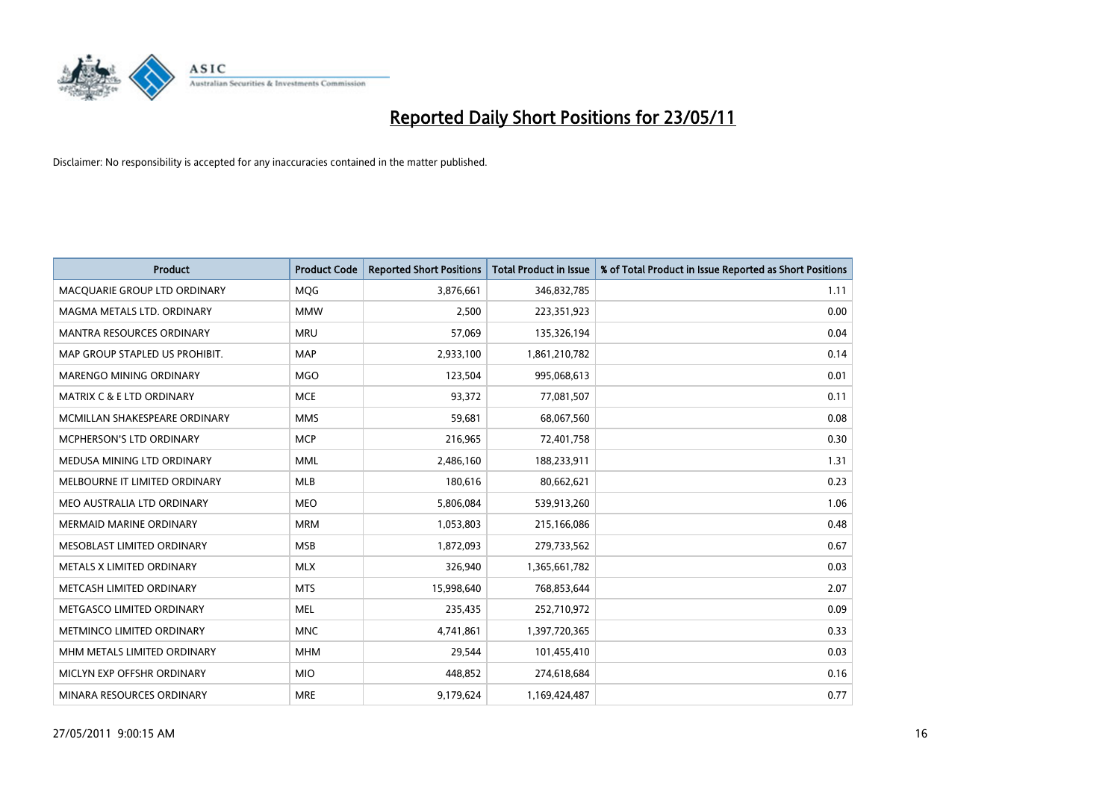

| <b>Product</b>                       | <b>Product Code</b> | <b>Reported Short Positions</b> | <b>Total Product in Issue</b> | % of Total Product in Issue Reported as Short Positions |
|--------------------------------------|---------------------|---------------------------------|-------------------------------|---------------------------------------------------------|
| MACQUARIE GROUP LTD ORDINARY         | <b>MQG</b>          | 3,876,661                       | 346,832,785                   | 1.11                                                    |
| MAGMA METALS LTD. ORDINARY           | <b>MMW</b>          | 2,500                           | 223,351,923                   | 0.00                                                    |
| <b>MANTRA RESOURCES ORDINARY</b>     | <b>MRU</b>          | 57.069                          | 135,326,194                   | 0.04                                                    |
| MAP GROUP STAPLED US PROHIBIT.       | <b>MAP</b>          | 2,933,100                       | 1,861,210,782                 | 0.14                                                    |
| <b>MARENGO MINING ORDINARY</b>       | <b>MGO</b>          | 123,504                         | 995,068,613                   | 0.01                                                    |
| <b>MATRIX C &amp; E LTD ORDINARY</b> | <b>MCE</b>          | 93,372                          | 77,081,507                    | 0.11                                                    |
| MCMILLAN SHAKESPEARE ORDINARY        | <b>MMS</b>          | 59,681                          | 68,067,560                    | 0.08                                                    |
| MCPHERSON'S LTD ORDINARY             | <b>MCP</b>          | 216,965                         | 72,401,758                    | 0.30                                                    |
| MEDUSA MINING LTD ORDINARY           | <b>MML</b>          | 2,486,160                       | 188,233,911                   | 1.31                                                    |
| MELBOURNE IT LIMITED ORDINARY        | MLB                 | 180,616                         | 80,662,621                    | 0.23                                                    |
| MEO AUSTRALIA LTD ORDINARY           | <b>MEO</b>          | 5,806,084                       | 539,913,260                   | 1.06                                                    |
| <b>MERMAID MARINE ORDINARY</b>       | <b>MRM</b>          | 1,053,803                       | 215,166,086                   | 0.48                                                    |
| MESOBLAST LIMITED ORDINARY           | <b>MSB</b>          | 1,872,093                       | 279,733,562                   | 0.67                                                    |
| METALS X LIMITED ORDINARY            | <b>MLX</b>          | 326,940                         | 1,365,661,782                 | 0.03                                                    |
| METCASH LIMITED ORDINARY             | <b>MTS</b>          | 15,998,640                      | 768,853,644                   | 2.07                                                    |
| METGASCO LIMITED ORDINARY            | <b>MEL</b>          | 235,435                         | 252,710,972                   | 0.09                                                    |
| METMINCO LIMITED ORDINARY            | <b>MNC</b>          | 4,741,861                       | 1,397,720,365                 | 0.33                                                    |
| MHM METALS LIMITED ORDINARY          | <b>MHM</b>          | 29,544                          | 101,455,410                   | 0.03                                                    |
| MICLYN EXP OFFSHR ORDINARY           | <b>MIO</b>          | 448,852                         | 274,618,684                   | 0.16                                                    |
| MINARA RESOURCES ORDINARY            | <b>MRE</b>          | 9,179,624                       | 1,169,424,487                 | 0.77                                                    |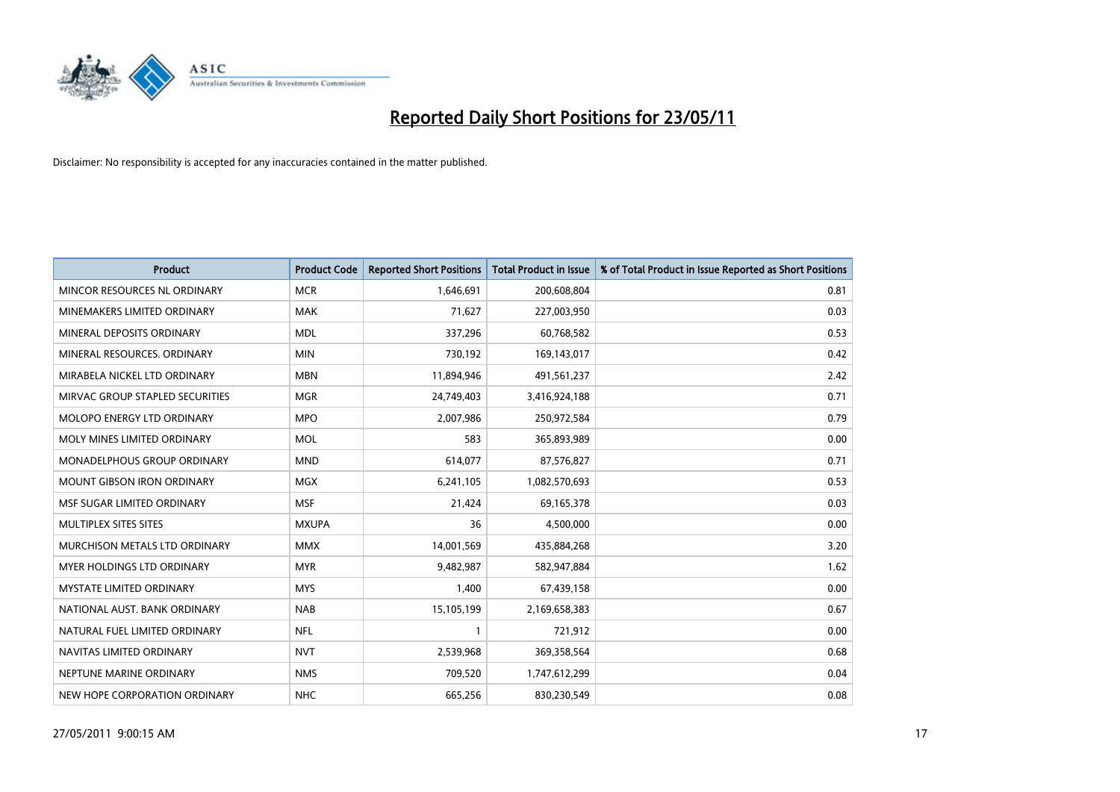

| <b>Product</b>                    | <b>Product Code</b> | <b>Reported Short Positions</b> | <b>Total Product in Issue</b> | % of Total Product in Issue Reported as Short Positions |
|-----------------------------------|---------------------|---------------------------------|-------------------------------|---------------------------------------------------------|
| MINCOR RESOURCES NL ORDINARY      | <b>MCR</b>          | 1,646,691                       | 200,608,804                   | 0.81                                                    |
| MINEMAKERS LIMITED ORDINARY       | <b>MAK</b>          | 71,627                          | 227,003,950                   | 0.03                                                    |
| MINERAL DEPOSITS ORDINARY         | <b>MDL</b>          | 337,296                         | 60,768,582                    | 0.53                                                    |
| MINERAL RESOURCES. ORDINARY       | <b>MIN</b>          | 730,192                         | 169,143,017                   | 0.42                                                    |
| MIRABELA NICKEL LTD ORDINARY      | <b>MBN</b>          | 11,894,946                      | 491,561,237                   | 2.42                                                    |
| MIRVAC GROUP STAPLED SECURITIES   | <b>MGR</b>          | 24,749,403                      | 3,416,924,188                 | 0.71                                                    |
| <b>MOLOPO ENERGY LTD ORDINARY</b> | <b>MPO</b>          | 2,007,986                       | 250,972,584                   | 0.79                                                    |
| MOLY MINES LIMITED ORDINARY       | <b>MOL</b>          | 583                             | 365,893,989                   | 0.00                                                    |
| MONADELPHOUS GROUP ORDINARY       | <b>MND</b>          | 614,077                         | 87,576,827                    | 0.71                                                    |
| <b>MOUNT GIBSON IRON ORDINARY</b> | <b>MGX</b>          | 6,241,105                       | 1,082,570,693                 | 0.53                                                    |
| MSF SUGAR LIMITED ORDINARY        | <b>MSF</b>          | 21,424                          | 69,165,378                    | 0.03                                                    |
| MULTIPLEX SITES SITES             | <b>MXUPA</b>        | 36                              | 4,500,000                     | 0.00                                                    |
| MURCHISON METALS LTD ORDINARY     | <b>MMX</b>          | 14,001,569                      | 435,884,268                   | 3.20                                                    |
| MYER HOLDINGS LTD ORDINARY        | <b>MYR</b>          | 9,482,987                       | 582,947,884                   | 1.62                                                    |
| <b>MYSTATE LIMITED ORDINARY</b>   | <b>MYS</b>          | 1,400                           | 67,439,158                    | 0.00                                                    |
| NATIONAL AUST. BANK ORDINARY      | <b>NAB</b>          | 15,105,199                      | 2,169,658,383                 | 0.67                                                    |
| NATURAL FUEL LIMITED ORDINARY     | <b>NFL</b>          |                                 | 721,912                       | 0.00                                                    |
| NAVITAS LIMITED ORDINARY          | <b>NVT</b>          | 2,539,968                       | 369,358,564                   | 0.68                                                    |
| NEPTUNE MARINE ORDINARY           | <b>NMS</b>          | 709,520                         | 1,747,612,299                 | 0.04                                                    |
| NEW HOPE CORPORATION ORDINARY     | <b>NHC</b>          | 665,256                         | 830,230,549                   | 0.08                                                    |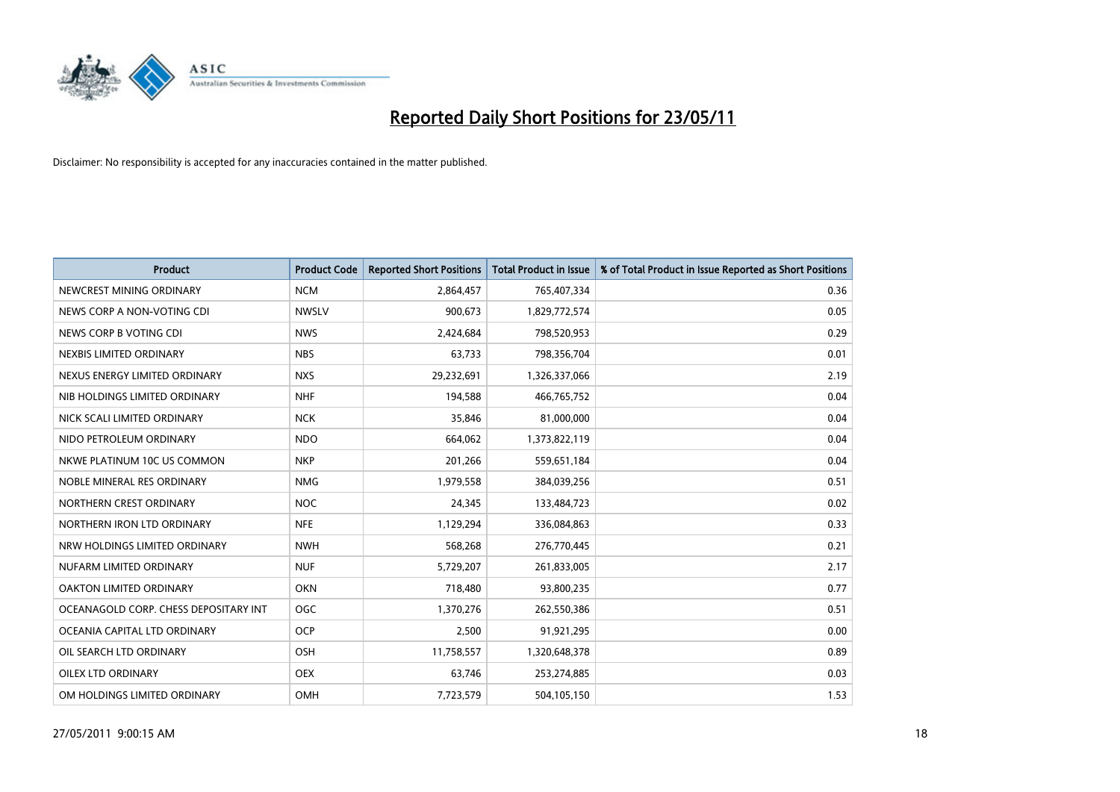

| <b>Product</b>                        | <b>Product Code</b> | <b>Reported Short Positions</b> | <b>Total Product in Issue</b> | % of Total Product in Issue Reported as Short Positions |
|---------------------------------------|---------------------|---------------------------------|-------------------------------|---------------------------------------------------------|
| NEWCREST MINING ORDINARY              | <b>NCM</b>          | 2,864,457                       | 765,407,334                   | 0.36                                                    |
| NEWS CORP A NON-VOTING CDI            | <b>NWSLV</b>        | 900,673                         | 1,829,772,574                 | 0.05                                                    |
| NEWS CORP B VOTING CDI                | <b>NWS</b>          | 2,424,684                       | 798,520,953                   | 0.29                                                    |
| NEXBIS LIMITED ORDINARY               | <b>NBS</b>          | 63,733                          | 798,356,704                   | 0.01                                                    |
| NEXUS ENERGY LIMITED ORDINARY         | <b>NXS</b>          | 29,232,691                      | 1,326,337,066                 | 2.19                                                    |
| NIB HOLDINGS LIMITED ORDINARY         | <b>NHF</b>          | 194,588                         | 466,765,752                   | 0.04                                                    |
| NICK SCALI LIMITED ORDINARY           | <b>NCK</b>          | 35,846                          | 81,000,000                    | 0.04                                                    |
| NIDO PETROLEUM ORDINARY               | <b>NDO</b>          | 664,062                         | 1,373,822,119                 | 0.04                                                    |
| NKWE PLATINUM 10C US COMMON           | <b>NKP</b>          | 201,266                         | 559,651,184                   | 0.04                                                    |
| NOBLE MINERAL RES ORDINARY            | <b>NMG</b>          | 1,979,558                       | 384,039,256                   | 0.51                                                    |
| NORTHERN CREST ORDINARY               | <b>NOC</b>          | 24,345                          | 133,484,723                   | 0.02                                                    |
| NORTHERN IRON LTD ORDINARY            | <b>NFE</b>          | 1,129,294                       | 336,084,863                   | 0.33                                                    |
| NRW HOLDINGS LIMITED ORDINARY         | <b>NWH</b>          | 568,268                         | 276,770,445                   | 0.21                                                    |
| NUFARM LIMITED ORDINARY               | <b>NUF</b>          | 5,729,207                       | 261,833,005                   | 2.17                                                    |
| <b>OAKTON LIMITED ORDINARY</b>        | <b>OKN</b>          | 718,480                         | 93,800,235                    | 0.77                                                    |
| OCEANAGOLD CORP. CHESS DEPOSITARY INT | <b>OGC</b>          | 1,370,276                       | 262,550,386                   | 0.51                                                    |
| OCEANIA CAPITAL LTD ORDINARY          | <b>OCP</b>          | 2,500                           | 91,921,295                    | 0.00                                                    |
| OIL SEARCH LTD ORDINARY               | <b>OSH</b>          | 11,758,557                      | 1,320,648,378                 | 0.89                                                    |
| OILEX LTD ORDINARY                    | OEX                 | 63,746                          | 253,274,885                   | 0.03                                                    |
| OM HOLDINGS LIMITED ORDINARY          | OMH                 | 7,723,579                       | 504,105,150                   | 1.53                                                    |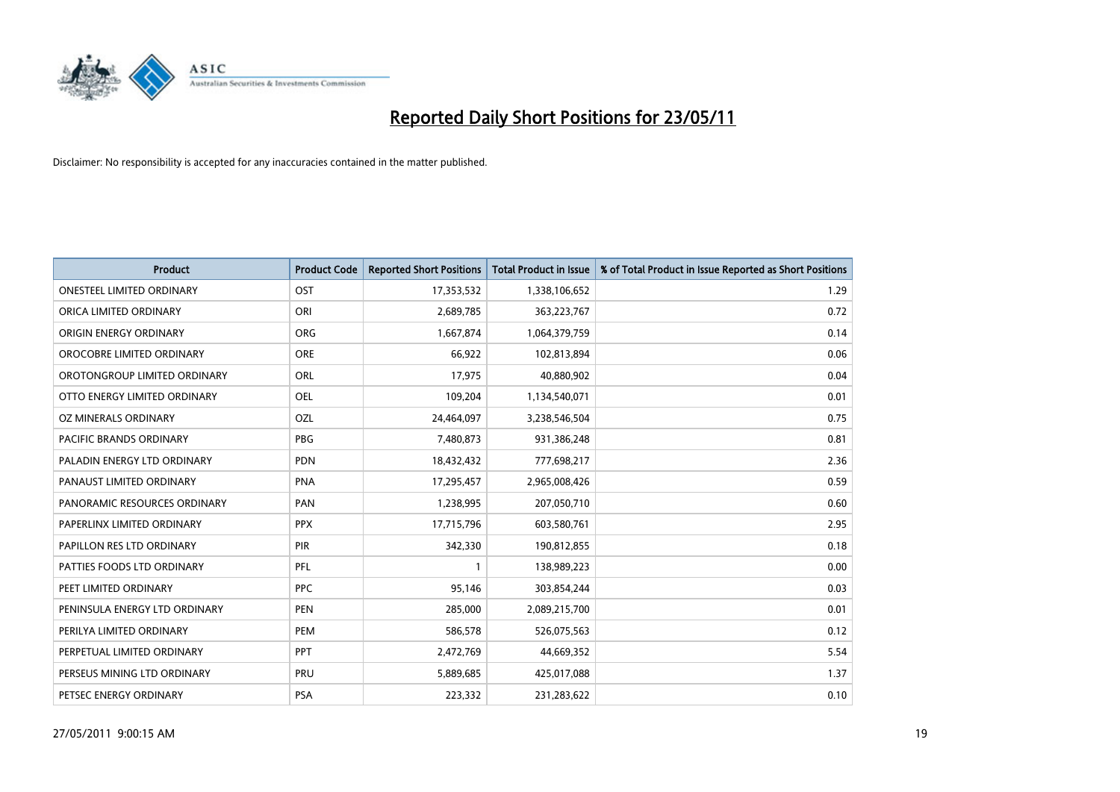

| <b>Product</b>                   | <b>Product Code</b> | <b>Reported Short Positions</b> | <b>Total Product in Issue</b> | % of Total Product in Issue Reported as Short Positions |
|----------------------------------|---------------------|---------------------------------|-------------------------------|---------------------------------------------------------|
| <b>ONESTEEL LIMITED ORDINARY</b> | OST                 | 17,353,532                      | 1,338,106,652                 | 1.29                                                    |
| ORICA LIMITED ORDINARY           | ORI                 | 2,689,785                       | 363,223,767                   | 0.72                                                    |
| ORIGIN ENERGY ORDINARY           | <b>ORG</b>          | 1,667,874                       | 1,064,379,759                 | 0.14                                                    |
| OROCOBRE LIMITED ORDINARY        | <b>ORE</b>          | 66,922                          | 102,813,894                   | 0.06                                                    |
| OROTONGROUP LIMITED ORDINARY     | <b>ORL</b>          | 17,975                          | 40,880,902                    | 0.04                                                    |
| OTTO ENERGY LIMITED ORDINARY     | OEL                 | 109,204                         | 1,134,540,071                 | 0.01                                                    |
| OZ MINERALS ORDINARY             | OZL                 | 24,464,097                      | 3,238,546,504                 | 0.75                                                    |
| PACIFIC BRANDS ORDINARY          | <b>PBG</b>          | 7,480,873                       | 931,386,248                   | 0.81                                                    |
| PALADIN ENERGY LTD ORDINARY      | <b>PDN</b>          | 18,432,432                      | 777,698,217                   | 2.36                                                    |
| PANAUST LIMITED ORDINARY         | <b>PNA</b>          | 17,295,457                      | 2,965,008,426                 | 0.59                                                    |
| PANORAMIC RESOURCES ORDINARY     | PAN                 | 1,238,995                       | 207,050,710                   | 0.60                                                    |
| PAPERLINX LIMITED ORDINARY       | <b>PPX</b>          | 17,715,796                      | 603,580,761                   | 2.95                                                    |
| PAPILLON RES LTD ORDINARY        | PIR                 | 342,330                         | 190,812,855                   | 0.18                                                    |
| PATTIES FOODS LTD ORDINARY       | PFL                 |                                 | 138,989,223                   | 0.00                                                    |
| PEET LIMITED ORDINARY            | <b>PPC</b>          | 95,146                          | 303,854,244                   | 0.03                                                    |
| PENINSULA ENERGY LTD ORDINARY    | <b>PEN</b>          | 285,000                         | 2,089,215,700                 | 0.01                                                    |
| PERILYA LIMITED ORDINARY         | PEM                 | 586,578                         | 526,075,563                   | 0.12                                                    |
| PERPETUAL LIMITED ORDINARY       | PPT                 | 2,472,769                       | 44,669,352                    | 5.54                                                    |
| PERSEUS MINING LTD ORDINARY      | PRU                 | 5,889,685                       | 425,017,088                   | 1.37                                                    |
| PETSEC ENERGY ORDINARY           | <b>PSA</b>          | 223,332                         | 231,283,622                   | 0.10                                                    |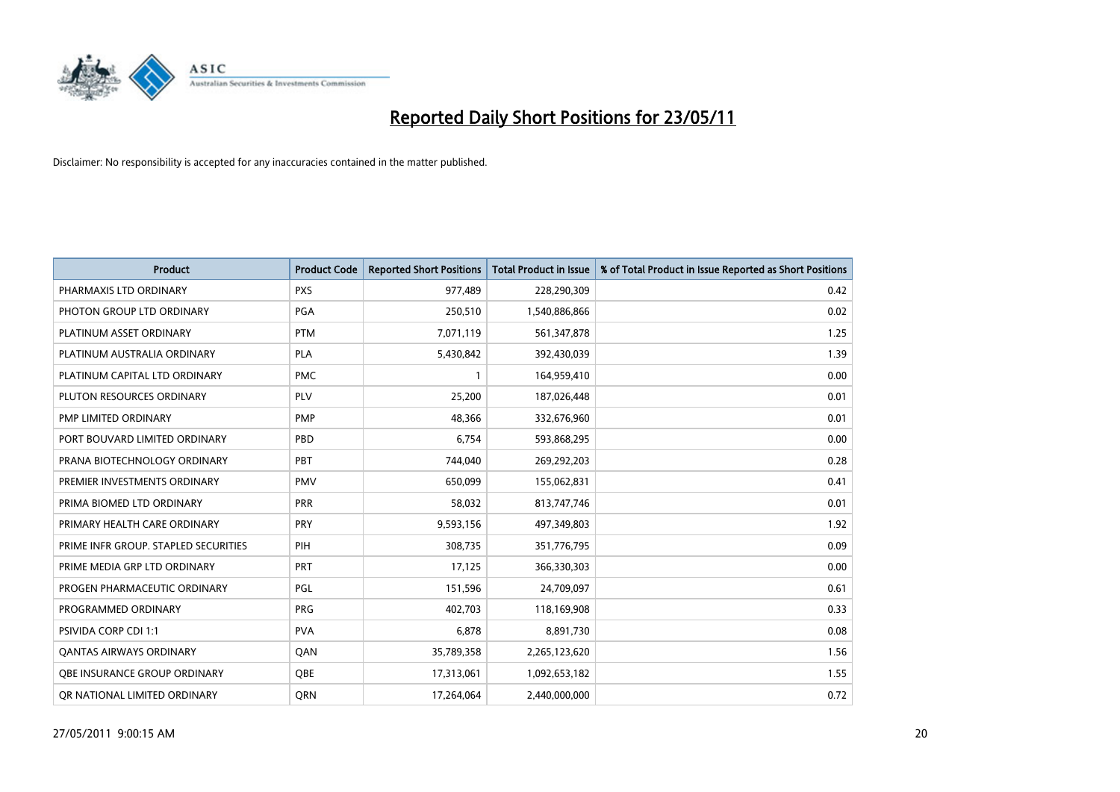

| <b>Product</b>                       | <b>Product Code</b> | <b>Reported Short Positions</b> | <b>Total Product in Issue</b> | % of Total Product in Issue Reported as Short Positions |
|--------------------------------------|---------------------|---------------------------------|-------------------------------|---------------------------------------------------------|
| PHARMAXIS LTD ORDINARY               | <b>PXS</b>          | 977,489                         | 228,290,309                   | 0.42                                                    |
| PHOTON GROUP LTD ORDINARY            | PGA                 | 250,510                         | 1,540,886,866                 | 0.02                                                    |
| PLATINUM ASSET ORDINARY              | <b>PTM</b>          | 7,071,119                       | 561,347,878                   | 1.25                                                    |
| PLATINUM AUSTRALIA ORDINARY          | <b>PLA</b>          | 5,430,842                       | 392,430,039                   | 1.39                                                    |
| PLATINUM CAPITAL LTD ORDINARY        | <b>PMC</b>          |                                 | 164,959,410                   | 0.00                                                    |
| PLUTON RESOURCES ORDINARY            | PLV                 | 25,200                          | 187,026,448                   | 0.01                                                    |
| PMP LIMITED ORDINARY                 | <b>PMP</b>          | 48,366                          | 332,676,960                   | 0.01                                                    |
| PORT BOUVARD LIMITED ORDINARY        | PBD                 | 6,754                           | 593,868,295                   | 0.00                                                    |
| PRANA BIOTECHNOLOGY ORDINARY         | PBT                 | 744,040                         | 269,292,203                   | 0.28                                                    |
| PREMIER INVESTMENTS ORDINARY         | <b>PMV</b>          | 650,099                         | 155,062,831                   | 0.41                                                    |
| PRIMA BIOMED LTD ORDINARY            | <b>PRR</b>          | 58,032                          | 813,747,746                   | 0.01                                                    |
| PRIMARY HEALTH CARE ORDINARY         | PRY                 | 9,593,156                       | 497,349,803                   | 1.92                                                    |
| PRIME INFR GROUP. STAPLED SECURITIES | PIH                 | 308,735                         | 351,776,795                   | 0.09                                                    |
| PRIME MEDIA GRP LTD ORDINARY         | PRT                 | 17,125                          | 366,330,303                   | 0.00                                                    |
| PROGEN PHARMACEUTIC ORDINARY         | PGL                 | 151,596                         | 24,709,097                    | 0.61                                                    |
| PROGRAMMED ORDINARY                  | <b>PRG</b>          | 402,703                         | 118,169,908                   | 0.33                                                    |
| PSIVIDA CORP CDI 1:1                 | <b>PVA</b>          | 6,878                           | 8,891,730                     | 0.08                                                    |
| <b>QANTAS AIRWAYS ORDINARY</b>       | QAN                 | 35,789,358                      | 2,265,123,620                 | 1.56                                                    |
| <b>OBE INSURANCE GROUP ORDINARY</b>  | OBE                 | 17,313,061                      | 1,092,653,182                 | 1.55                                                    |
| OR NATIONAL LIMITED ORDINARY         | <b>ORN</b>          | 17,264,064                      | 2,440,000,000                 | 0.72                                                    |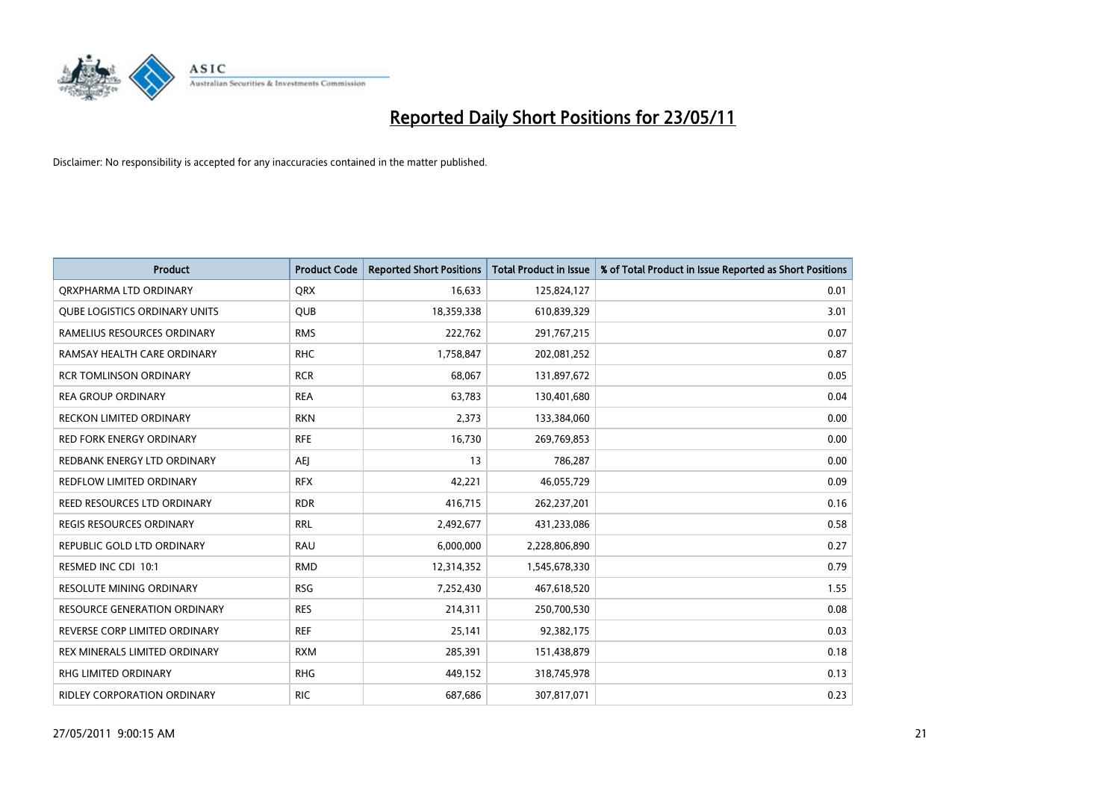

| <b>Product</b>                      | <b>Product Code</b> | <b>Reported Short Positions</b> | <b>Total Product in Issue</b> | % of Total Product in Issue Reported as Short Positions |
|-------------------------------------|---------------------|---------------------------------|-------------------------------|---------------------------------------------------------|
| ORXPHARMA LTD ORDINARY              | <b>ORX</b>          | 16,633                          | 125,824,127                   | 0.01                                                    |
| QUBE LOGISTICS ORDINARY UNITS       | QUB                 | 18,359,338                      | 610,839,329                   | 3.01                                                    |
| RAMELIUS RESOURCES ORDINARY         | <b>RMS</b>          | 222,762                         | 291,767,215                   | 0.07                                                    |
| RAMSAY HEALTH CARE ORDINARY         | <b>RHC</b>          | 1,758,847                       | 202,081,252                   | 0.87                                                    |
| <b>RCR TOMLINSON ORDINARY</b>       | <b>RCR</b>          | 68,067                          | 131,897,672                   | 0.05                                                    |
| <b>REA GROUP ORDINARY</b>           | <b>REA</b>          | 63,783                          | 130,401,680                   | 0.04                                                    |
| <b>RECKON LIMITED ORDINARY</b>      | <b>RKN</b>          | 2,373                           | 133,384,060                   | 0.00                                                    |
| <b>RED FORK ENERGY ORDINARY</b>     | <b>RFE</b>          | 16,730                          | 269,769,853                   | 0.00                                                    |
| REDBANK ENERGY LTD ORDINARY         | <b>AEI</b>          | 13                              | 786,287                       | 0.00                                                    |
| REDFLOW LIMITED ORDINARY            | <b>RFX</b>          | 42,221                          | 46,055,729                    | 0.09                                                    |
| REED RESOURCES LTD ORDINARY         | <b>RDR</b>          | 416,715                         | 262,237,201                   | 0.16                                                    |
| <b>REGIS RESOURCES ORDINARY</b>     | <b>RRL</b>          | 2,492,677                       | 431,233,086                   | 0.58                                                    |
| REPUBLIC GOLD LTD ORDINARY          | <b>RAU</b>          | 6,000,000                       | 2,228,806,890                 | 0.27                                                    |
| RESMED INC CDI 10:1                 | <b>RMD</b>          | 12,314,352                      | 1,545,678,330                 | 0.79                                                    |
| <b>RESOLUTE MINING ORDINARY</b>     | <b>RSG</b>          | 7,252,430                       | 467,618,520                   | 1.55                                                    |
| <b>RESOURCE GENERATION ORDINARY</b> | <b>RES</b>          | 214,311                         | 250,700,530                   | 0.08                                                    |
| REVERSE CORP LIMITED ORDINARY       | <b>REF</b>          | 25,141                          | 92,382,175                    | 0.03                                                    |
| REX MINERALS LIMITED ORDINARY       | <b>RXM</b>          | 285,391                         | 151,438,879                   | 0.18                                                    |
| <b>RHG LIMITED ORDINARY</b>         | <b>RHG</b>          | 449,152                         | 318,745,978                   | 0.13                                                    |
| RIDLEY CORPORATION ORDINARY         | <b>RIC</b>          | 687,686                         | 307,817,071                   | 0.23                                                    |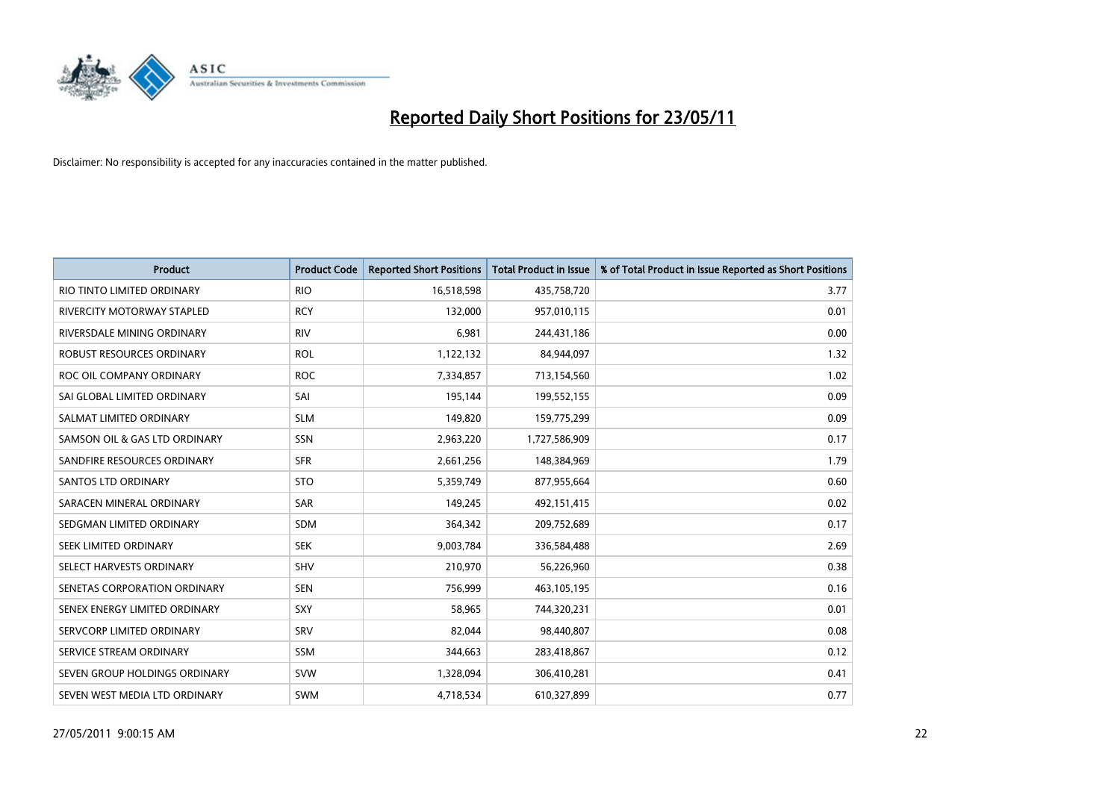

| <b>Product</b>                    | <b>Product Code</b> | <b>Reported Short Positions</b> | <b>Total Product in Issue</b> | % of Total Product in Issue Reported as Short Positions |
|-----------------------------------|---------------------|---------------------------------|-------------------------------|---------------------------------------------------------|
| RIO TINTO LIMITED ORDINARY        | <b>RIO</b>          | 16,518,598                      | 435,758,720                   | 3.77                                                    |
| <b>RIVERCITY MOTORWAY STAPLED</b> | <b>RCY</b>          | 132,000                         | 957,010,115                   | 0.01                                                    |
| RIVERSDALE MINING ORDINARY        | <b>RIV</b>          | 6,981                           | 244,431,186                   | 0.00                                                    |
| ROBUST RESOURCES ORDINARY         | <b>ROL</b>          | 1,122,132                       | 84,944,097                    | 1.32                                                    |
| ROC OIL COMPANY ORDINARY          | <b>ROC</b>          | 7,334,857                       | 713,154,560                   | 1.02                                                    |
| SAI GLOBAL LIMITED ORDINARY       | SAI                 | 195,144                         | 199,552,155                   | 0.09                                                    |
| SALMAT LIMITED ORDINARY           | <b>SLM</b>          | 149,820                         | 159,775,299                   | 0.09                                                    |
| SAMSON OIL & GAS LTD ORDINARY     | <b>SSN</b>          | 2,963,220                       | 1,727,586,909                 | 0.17                                                    |
| SANDFIRE RESOURCES ORDINARY       | <b>SFR</b>          | 2,661,256                       | 148,384,969                   | 1.79                                                    |
| <b>SANTOS LTD ORDINARY</b>        | <b>STO</b>          | 5,359,749                       | 877,955,664                   | 0.60                                                    |
| SARACEN MINERAL ORDINARY          | <b>SAR</b>          | 149,245                         | 492,151,415                   | 0.02                                                    |
| SEDGMAN LIMITED ORDINARY          | <b>SDM</b>          | 364,342                         | 209,752,689                   | 0.17                                                    |
| SEEK LIMITED ORDINARY             | <b>SEK</b>          | 9,003,784                       | 336,584,488                   | 2.69                                                    |
| SELECT HARVESTS ORDINARY          | <b>SHV</b>          | 210,970                         | 56,226,960                    | 0.38                                                    |
| SENETAS CORPORATION ORDINARY      | <b>SEN</b>          | 756,999                         | 463,105,195                   | 0.16                                                    |
| SENEX ENERGY LIMITED ORDINARY     | SXY                 | 58,965                          | 744,320,231                   | 0.01                                                    |
| SERVCORP LIMITED ORDINARY         | SRV                 | 82,044                          | 98,440,807                    | 0.08                                                    |
| SERVICE STREAM ORDINARY           | <b>SSM</b>          | 344,663                         | 283,418,867                   | 0.12                                                    |
| SEVEN GROUP HOLDINGS ORDINARY     | <b>SVW</b>          | 1,328,094                       | 306,410,281                   | 0.41                                                    |
| SEVEN WEST MEDIA LTD ORDINARY     | <b>SWM</b>          | 4,718,534                       | 610,327,899                   | 0.77                                                    |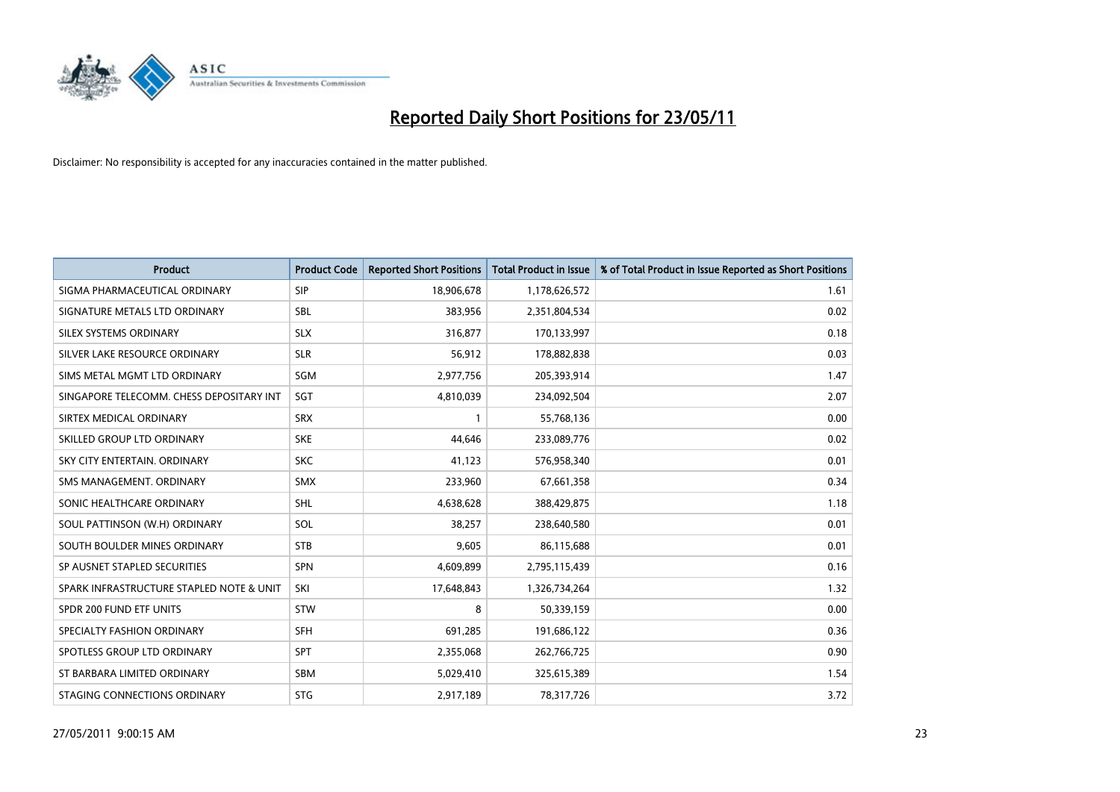

| <b>Product</b>                           | <b>Product Code</b> | <b>Reported Short Positions</b> | Total Product in Issue | % of Total Product in Issue Reported as Short Positions |
|------------------------------------------|---------------------|---------------------------------|------------------------|---------------------------------------------------------|
| SIGMA PHARMACEUTICAL ORDINARY            | SIP                 | 18,906,678                      | 1,178,626,572          | 1.61                                                    |
| SIGNATURE METALS LTD ORDINARY            | <b>SBL</b>          | 383,956                         | 2,351,804,534          | 0.02                                                    |
| SILEX SYSTEMS ORDINARY                   | <b>SLX</b>          | 316,877                         | 170,133,997            | 0.18                                                    |
| SILVER LAKE RESOURCE ORDINARY            | <b>SLR</b>          | 56,912                          | 178,882,838            | 0.03                                                    |
| SIMS METAL MGMT LTD ORDINARY             | SGM                 | 2,977,756                       | 205,393,914            | 1.47                                                    |
| SINGAPORE TELECOMM. CHESS DEPOSITARY INT | SGT                 | 4,810,039                       | 234,092,504            | 2.07                                                    |
| SIRTEX MEDICAL ORDINARY                  | <b>SRX</b>          |                                 | 55,768,136             | 0.00                                                    |
| SKILLED GROUP LTD ORDINARY               | <b>SKE</b>          | 44,646                          | 233,089,776            | 0.02                                                    |
| SKY CITY ENTERTAIN. ORDINARY             | <b>SKC</b>          | 41,123                          | 576,958,340            | 0.01                                                    |
| SMS MANAGEMENT, ORDINARY                 | <b>SMX</b>          | 233,960                         | 67,661,358             | 0.34                                                    |
| SONIC HEALTHCARE ORDINARY                | <b>SHL</b>          | 4,638,628                       | 388,429,875            | 1.18                                                    |
| SOUL PATTINSON (W.H) ORDINARY            | SOL                 | 38,257                          | 238,640,580            | 0.01                                                    |
| SOUTH BOULDER MINES ORDINARY             | <b>STB</b>          | 9,605                           | 86,115,688             | 0.01                                                    |
| SP AUSNET STAPLED SECURITIES             | <b>SPN</b>          | 4,609,899                       | 2,795,115,439          | 0.16                                                    |
| SPARK INFRASTRUCTURE STAPLED NOTE & UNIT | SKI                 | 17,648,843                      | 1,326,734,264          | 1.32                                                    |
| SPDR 200 FUND ETF UNITS                  | <b>STW</b>          | 8                               | 50,339,159             | 0.00                                                    |
| SPECIALTY FASHION ORDINARY               | <b>SFH</b>          | 691,285                         | 191,686,122            | 0.36                                                    |
| SPOTLESS GROUP LTD ORDINARY              | <b>SPT</b>          | 2,355,068                       | 262,766,725            | 0.90                                                    |
| ST BARBARA LIMITED ORDINARY              | SBM                 | 5,029,410                       | 325,615,389            | 1.54                                                    |
| STAGING CONNECTIONS ORDINARY             | <b>STG</b>          | 2,917,189                       | 78,317,726             | 3.72                                                    |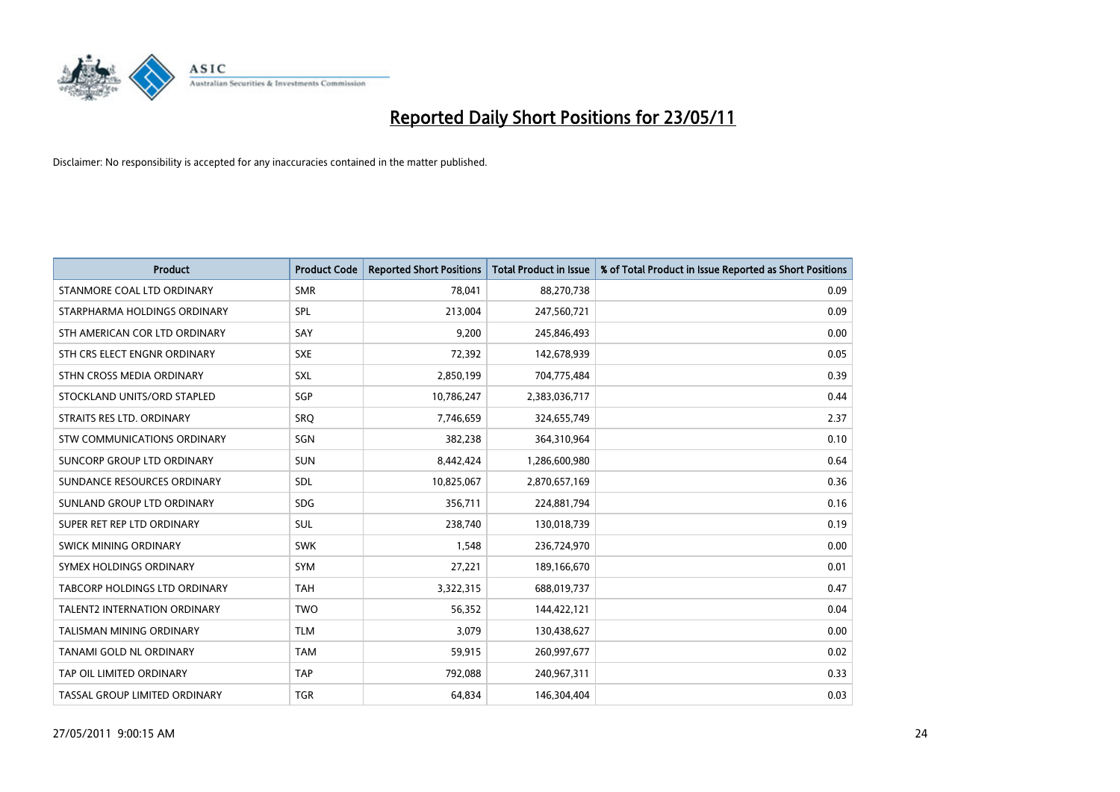

| <b>Product</b>                       | <b>Product Code</b> | <b>Reported Short Positions</b> | <b>Total Product in Issue</b> | % of Total Product in Issue Reported as Short Positions |
|--------------------------------------|---------------------|---------------------------------|-------------------------------|---------------------------------------------------------|
| STANMORE COAL LTD ORDINARY           | <b>SMR</b>          | 78,041                          | 88,270,738                    | 0.09                                                    |
| STARPHARMA HOLDINGS ORDINARY         | <b>SPL</b>          | 213,004                         | 247,560,721                   | 0.09                                                    |
| STH AMERICAN COR LTD ORDINARY        | SAY                 | 9,200                           | 245,846,493                   | 0.00                                                    |
| STH CRS ELECT ENGNR ORDINARY         | <b>SXE</b>          | 72,392                          | 142,678,939                   | 0.05                                                    |
| STHN CROSS MEDIA ORDINARY            | <b>SXL</b>          | 2,850,199                       | 704,775,484                   | 0.39                                                    |
| STOCKLAND UNITS/ORD STAPLED          | SGP                 | 10,786,247                      | 2,383,036,717                 | 0.44                                                    |
| STRAITS RES LTD. ORDINARY            | SRO                 | 7,746,659                       | 324,655,749                   | 2.37                                                    |
| <b>STW COMMUNICATIONS ORDINARY</b>   | SGN                 | 382,238                         | 364,310,964                   | 0.10                                                    |
| SUNCORP GROUP LTD ORDINARY           | <b>SUN</b>          | 8,442,424                       | 1,286,600,980                 | 0.64                                                    |
| SUNDANCE RESOURCES ORDINARY          | <b>SDL</b>          | 10,825,067                      | 2,870,657,169                 | 0.36                                                    |
| SUNLAND GROUP LTD ORDINARY           | <b>SDG</b>          | 356,711                         | 224,881,794                   | 0.16                                                    |
| SUPER RET REP LTD ORDINARY           | SUL                 | 238,740                         | 130,018,739                   | 0.19                                                    |
| <b>SWICK MINING ORDINARY</b>         | <b>SWK</b>          | 1,548                           | 236,724,970                   | 0.00                                                    |
| SYMEX HOLDINGS ORDINARY              | <b>SYM</b>          | 27,221                          | 189,166,670                   | 0.01                                                    |
| <b>TABCORP HOLDINGS LTD ORDINARY</b> | <b>TAH</b>          | 3,322,315                       | 688,019,737                   | 0.47                                                    |
| <b>TALENT2 INTERNATION ORDINARY</b>  | <b>TWO</b>          | 56,352                          | 144,422,121                   | 0.04                                                    |
| TALISMAN MINING ORDINARY             | <b>TLM</b>          | 3,079                           | 130,438,627                   | 0.00                                                    |
| <b>TANAMI GOLD NL ORDINARY</b>       | <b>TAM</b>          | 59,915                          | 260,997,677                   | 0.02                                                    |
| TAP OIL LIMITED ORDINARY             | <b>TAP</b>          | 792,088                         | 240,967,311                   | 0.33                                                    |
| TASSAL GROUP LIMITED ORDINARY        | <b>TGR</b>          | 64,834                          | 146,304,404                   | 0.03                                                    |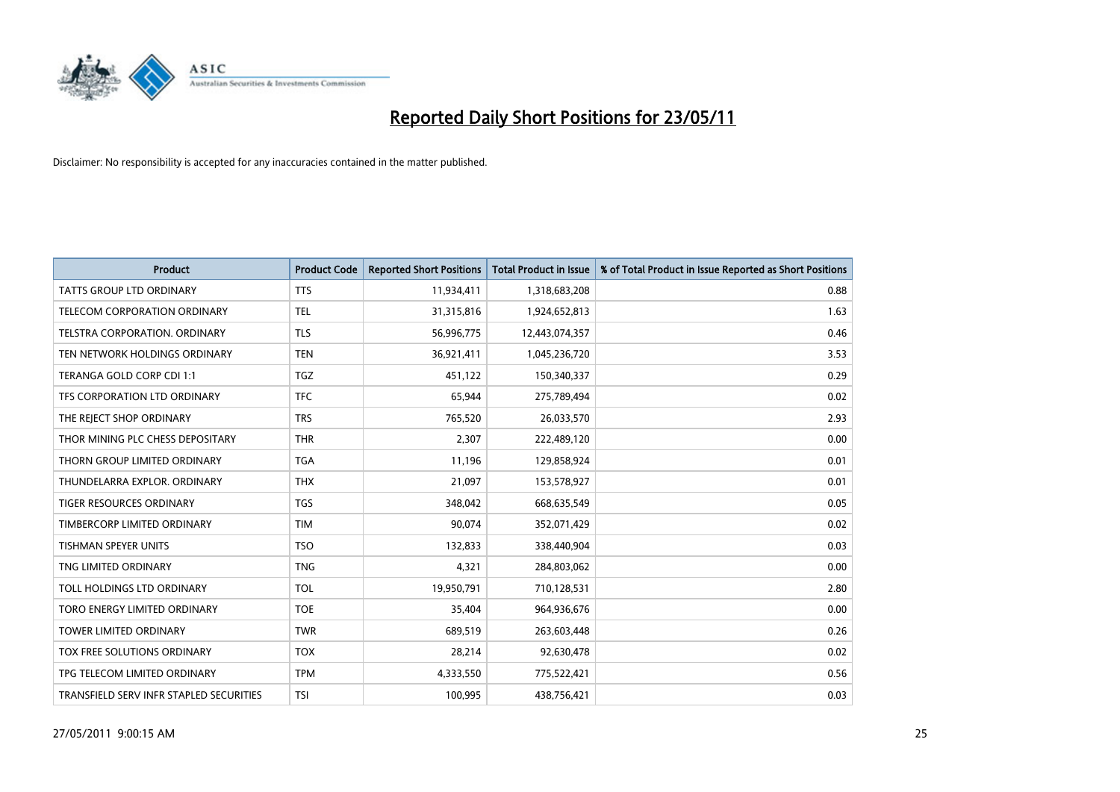

| <b>Product</b>                          | <b>Product Code</b> | <b>Reported Short Positions</b> | <b>Total Product in Issue</b> | % of Total Product in Issue Reported as Short Positions |
|-----------------------------------------|---------------------|---------------------------------|-------------------------------|---------------------------------------------------------|
| <b>TATTS GROUP LTD ORDINARY</b>         | <b>TTS</b>          | 11,934,411                      | 1,318,683,208                 | 0.88                                                    |
| TELECOM CORPORATION ORDINARY            | TEL                 | 31,315,816                      | 1,924,652,813                 | 1.63                                                    |
| <b>TELSTRA CORPORATION, ORDINARY</b>    | <b>TLS</b>          | 56,996,775                      | 12,443,074,357                | 0.46                                                    |
| TEN NETWORK HOLDINGS ORDINARY           | <b>TEN</b>          | 36,921,411                      | 1,045,236,720                 | 3.53                                                    |
| TERANGA GOLD CORP CDI 1:1               | <b>TGZ</b>          | 451,122                         | 150,340,337                   | 0.29                                                    |
| TFS CORPORATION LTD ORDINARY            | <b>TFC</b>          | 65,944                          | 275,789,494                   | 0.02                                                    |
| THE REJECT SHOP ORDINARY                | <b>TRS</b>          | 765,520                         | 26,033,570                    | 2.93                                                    |
| THOR MINING PLC CHESS DEPOSITARY        | <b>THR</b>          | 2,307                           | 222,489,120                   | 0.00                                                    |
| THORN GROUP LIMITED ORDINARY            | <b>TGA</b>          | 11,196                          | 129,858,924                   | 0.01                                                    |
| THUNDELARRA EXPLOR, ORDINARY            | <b>THX</b>          | 21,097                          | 153,578,927                   | 0.01                                                    |
| TIGER RESOURCES ORDINARY                | <b>TGS</b>          | 348,042                         | 668,635,549                   | 0.05                                                    |
| TIMBERCORP LIMITED ORDINARY             | <b>TIM</b>          | 90,074                          | 352,071,429                   | 0.02                                                    |
| TISHMAN SPEYER UNITS                    | <b>TSO</b>          | 132,833                         | 338,440,904                   | 0.03                                                    |
| TNG LIMITED ORDINARY                    | <b>TNG</b>          | 4,321                           | 284,803,062                   | 0.00                                                    |
| TOLL HOLDINGS LTD ORDINARY              | <b>TOL</b>          | 19,950,791                      | 710,128,531                   | 2.80                                                    |
| TORO ENERGY LIMITED ORDINARY            | <b>TOE</b>          | 35,404                          | 964,936,676                   | 0.00                                                    |
| TOWER LIMITED ORDINARY                  | <b>TWR</b>          | 689,519                         | 263,603,448                   | 0.26                                                    |
| TOX FREE SOLUTIONS ORDINARY             | <b>TOX</b>          | 28,214                          | 92,630,478                    | 0.02                                                    |
| TPG TELECOM LIMITED ORDINARY            | <b>TPM</b>          | 4,333,550                       | 775,522,421                   | 0.56                                                    |
| TRANSFIELD SERV INFR STAPLED SECURITIES | <b>TSI</b>          | 100,995                         | 438,756,421                   | 0.03                                                    |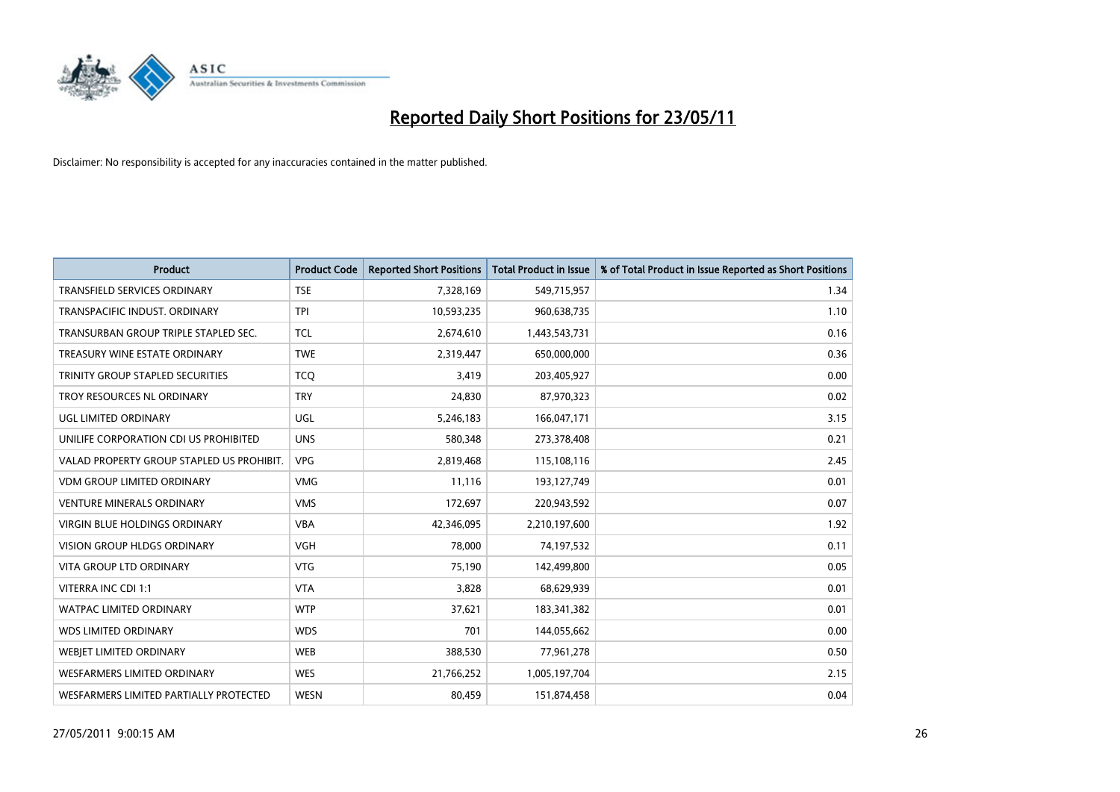

| <b>Product</b>                            | <b>Product Code</b> | <b>Reported Short Positions</b> | <b>Total Product in Issue</b> | % of Total Product in Issue Reported as Short Positions |
|-------------------------------------------|---------------------|---------------------------------|-------------------------------|---------------------------------------------------------|
| <b>TRANSFIELD SERVICES ORDINARY</b>       | <b>TSE</b>          | 7,328,169                       | 549,715,957                   | 1.34                                                    |
| TRANSPACIFIC INDUST. ORDINARY             | <b>TPI</b>          | 10,593,235                      | 960,638,735                   | 1.10                                                    |
| TRANSURBAN GROUP TRIPLE STAPLED SEC.      | <b>TCL</b>          | 2,674,610                       | 1,443,543,731                 | 0.16                                                    |
| TREASURY WINE ESTATE ORDINARY             | <b>TWE</b>          | 2,319,447                       | 650,000,000                   | 0.36                                                    |
| <b>TRINITY GROUP STAPLED SECURITIES</b>   | <b>TCO</b>          | 3,419                           | 203,405,927                   | 0.00                                                    |
| TROY RESOURCES NL ORDINARY                | <b>TRY</b>          | 24,830                          | 87,970,323                    | 0.02                                                    |
| UGL LIMITED ORDINARY                      | UGL                 | 5,246,183                       | 166,047,171                   | 3.15                                                    |
| UNILIFE CORPORATION CDI US PROHIBITED     | <b>UNS</b>          | 580,348                         | 273,378,408                   | 0.21                                                    |
| VALAD PROPERTY GROUP STAPLED US PROHIBIT. | <b>VPG</b>          | 2,819,468                       | 115,108,116                   | 2.45                                                    |
| <b>VDM GROUP LIMITED ORDINARY</b>         | <b>VMG</b>          | 11,116                          | 193,127,749                   | 0.01                                                    |
| <b>VENTURE MINERALS ORDINARY</b>          | <b>VMS</b>          | 172,697                         | 220,943,592                   | 0.07                                                    |
| <b>VIRGIN BLUE HOLDINGS ORDINARY</b>      | <b>VBA</b>          | 42,346,095                      | 2,210,197,600                 | 1.92                                                    |
| VISION GROUP HLDGS ORDINARY               | <b>VGH</b>          | 78,000                          | 74,197,532                    | 0.11                                                    |
| <b>VITA GROUP LTD ORDINARY</b>            | <b>VTG</b>          | 75,190                          | 142,499,800                   | 0.05                                                    |
| VITERRA INC CDI 1:1                       | <b>VTA</b>          | 3,828                           | 68,629,939                    | 0.01                                                    |
| <b>WATPAC LIMITED ORDINARY</b>            | <b>WTP</b>          | 37,621                          | 183,341,382                   | 0.01                                                    |
| <b>WDS LIMITED ORDINARY</b>               | <b>WDS</b>          | 701                             | 144,055,662                   | 0.00                                                    |
| WEBIET LIMITED ORDINARY                   | <b>WEB</b>          | 388,530                         | 77,961,278                    | 0.50                                                    |
| <b>WESFARMERS LIMITED ORDINARY</b>        | <b>WES</b>          | 21,766,252                      | 1,005,197,704                 | 2.15                                                    |
| WESFARMERS LIMITED PARTIALLY PROTECTED    | <b>WESN</b>         | 80,459                          | 151,874,458                   | 0.04                                                    |